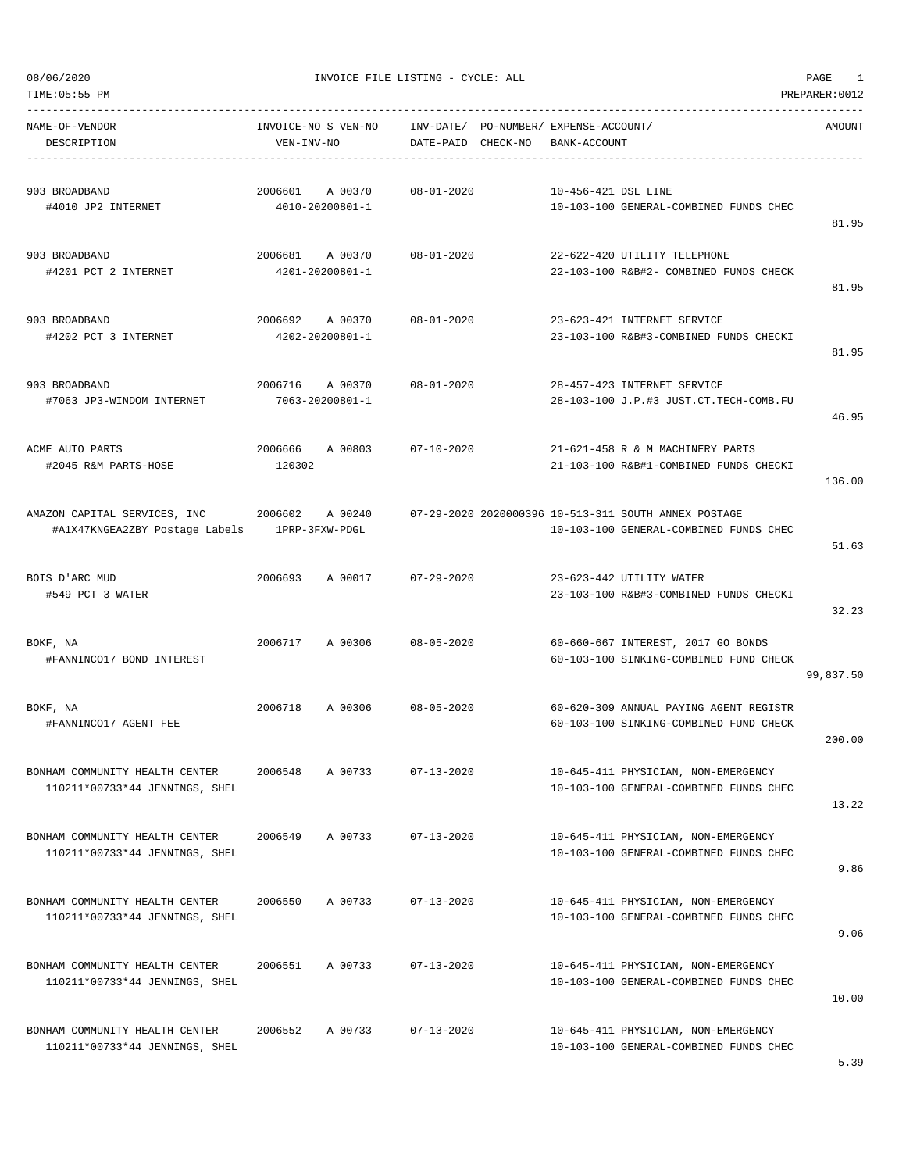| TIME: 05:55 PM<br>PREPARER: 0012                                 |                                       |                                    |                                                                                                |           |  |  |
|------------------------------------------------------------------|---------------------------------------|------------------------------------|------------------------------------------------------------------------------------------------|-----------|--|--|
| NAME-OF-VENDOR<br>DESCRIPTION                                    | INVOICE-NO S VEN-NO<br>VEN-INV-NO     | INV-DATE/<br>DATE-PAID<br>CHECK-NO | PO-NUMBER / EXPENSE-ACCOUNT /<br>BANK-ACCOUNT                                                  | AMOUNT    |  |  |
| 903 BROADBAND<br>#4010 JP2 INTERNET                              | 2006601<br>A 00370<br>4010-20200801-1 | $08 - 01 - 2020$                   | 10-456-421 DSL LINE<br>10-103-100 GENERAL-COMBINED FUNDS CHEC                                  | 81.95     |  |  |
| 903 BROADBAND<br>#4201 PCT 2 INTERNET                            | 2006681<br>A 00370<br>4201-20200801-1 | $08 - 01 - 2020$                   | 22-622-420 UTILITY TELEPHONE<br>22-103-100 R&B#2- COMBINED FUNDS CHECK                         | 81.95     |  |  |
| 903 BROADBAND<br>#4202 PCT 3 INTERNET                            | 2006692<br>A 00370<br>4202-20200801-1 | $08 - 01 - 2020$                   | 23-623-421 INTERNET SERVICE<br>23-103-100 R&B#3-COMBINED FUNDS CHECKI                          | 81.95     |  |  |
| 903 BROADBAND<br>#7063 JP3-WINDOM INTERNET                       | 2006716<br>A 00370<br>7063-20200801-1 | $08 - 01 - 2020$                   | 28-457-423 INTERNET SERVICE<br>28-103-100 J.P.#3 JUST.CT.TECH-COMB.FU                          | 46.95     |  |  |
| ACME AUTO PARTS<br>#2045 R&M PARTS-HOSE                          | 2006666<br>A 00803<br>120302          | $07 - 10 - 2020$                   | 21-621-458 R & M MACHINERY PARTS<br>21-103-100 R&B#1-COMBINED FUNDS CHECKI                     | 136.00    |  |  |
| AMAZON CAPITAL SERVICES, INC<br>#A1X47KNGEA2ZBY Postage Labels   | 2006602<br>A 00240<br>1PRP-3FXW-PDGL  |                                    | 07-29-2020 2020000396 10-513-311 SOUTH ANNEX POSTAGE<br>10-103-100 GENERAL-COMBINED FUNDS CHEC | 51.63     |  |  |
| BOIS D'ARC MUD<br>#549 PCT 3 WATER                               | 2006693<br>A 00017                    | $07 - 29 - 2020$                   | 23-623-442 UTILITY WATER<br>23-103-100 R&B#3-COMBINED FUNDS CHECKI                             | 32.23     |  |  |
| BOKF, NA<br>#FANNINCO17 BOND INTEREST                            | 2006717<br>A 00306                    | $08 - 05 - 2020$                   | 60-660-667 INTEREST, 2017 GO BONDS<br>60-103-100 SINKING-COMBINED FUND CHECK                   | 99,837.50 |  |  |
| BOKF, NA<br>#FANNINCO17 AGENT FEE                                | 2006718<br>A 00306                    | $08 - 05 - 2020$                   | 60-620-309 ANNUAL PAYING AGENT REGISTR<br>60-103-100 SINKING-COMBINED FUND CHECK               | 200.00    |  |  |
| BONHAM COMMUNITY HEALTH CENTER<br>110211*00733*44 JENNINGS, SHEL | 2006548<br>A 00733                    | $07 - 13 - 2020$                   | 10-645-411 PHYSICIAN, NON-EMERGENCY<br>10-103-100 GENERAL-COMBINED FUNDS CHEC                  | 13.22     |  |  |
| BONHAM COMMUNITY HEALTH CENTER<br>110211*00733*44 JENNINGS, SHEL | 2006549<br>A 00733                    | $07 - 13 - 2020$                   | 10-645-411 PHYSICIAN, NON-EMERGENCY<br>10-103-100 GENERAL-COMBINED FUNDS CHEC                  | 9.86      |  |  |
| BONHAM COMMUNITY HEALTH CENTER<br>110211*00733*44 JENNINGS, SHEL | 2006550<br>A 00733                    | $07 - 13 - 2020$                   | 10-645-411 PHYSICIAN, NON-EMERGENCY<br>10-103-100 GENERAL-COMBINED FUNDS CHEC                  | 9.06      |  |  |
| BONHAM COMMUNITY HEALTH CENTER<br>110211*00733*44 JENNINGS, SHEL | A 00733<br>2006551                    | $07 - 13 - 2020$                   | 10-645-411 PHYSICIAN, NON-EMERGENCY<br>10-103-100 GENERAL-COMBINED FUNDS CHEC                  | 10.00     |  |  |
| BONHAM COMMUNITY HEALTH CENTER<br>110211*00733*44 JENNINGS, SHEL | 2006552<br>A 00733                    | $07 - 13 - 2020$                   | 10-645-411 PHYSICIAN, NON-EMERGENCY<br>10-103-100 GENERAL-COMBINED FUNDS CHEC                  |           |  |  |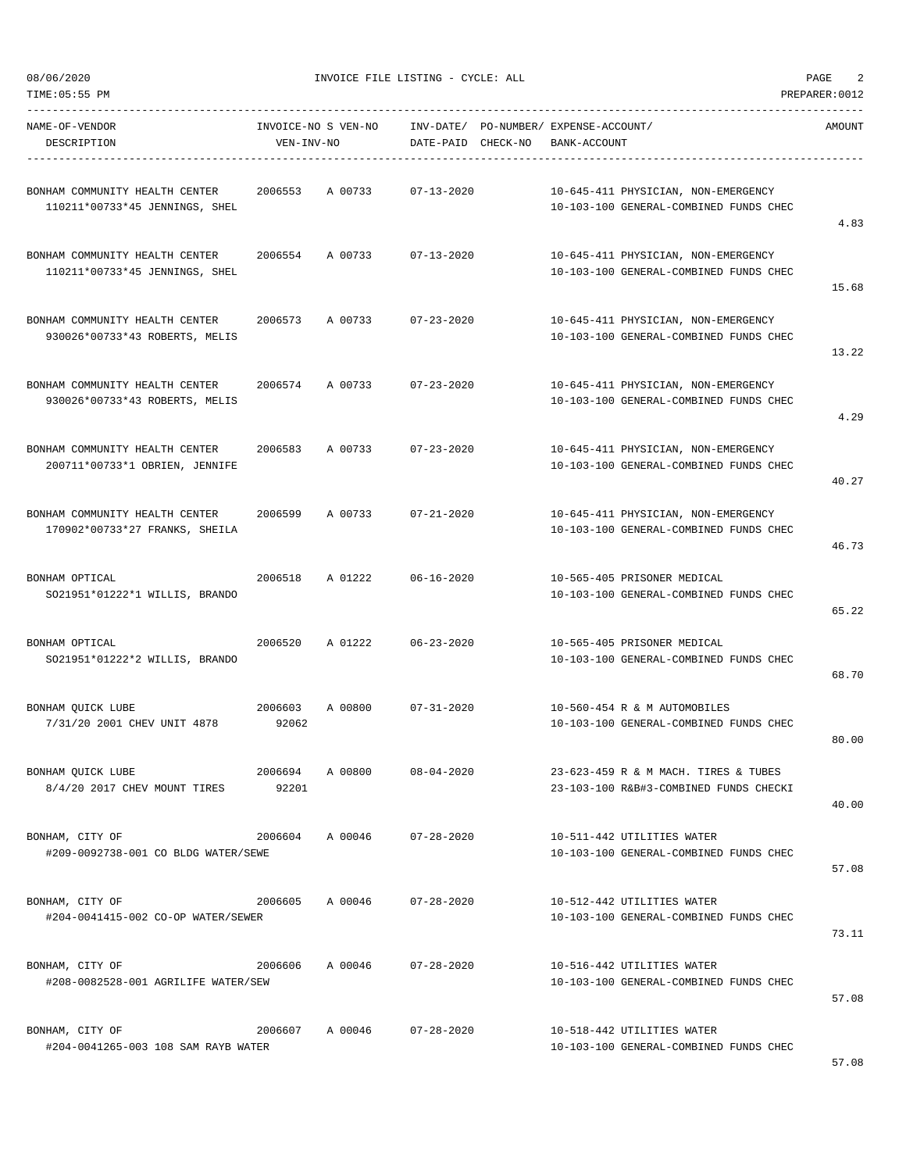TIME:05:55 PM PREPARER:0012

08/06/2020 INVOICE FILE LISTING - CYCLE: ALL PAGE 2

-----------------------------------------------------------------------------------------------------------------------------------

| NAME-OF-VENDOR<br>DESCRIPTION                                    | VEN-INV-NO       | INVOICE-NO S VEN-NO | DATE-PAID CHECK-NO | INV-DATE/ PO-NUMBER/ EXPENSE-ACCOUNT/<br>BANK-ACCOUNT |                                                                                | <b>AMOUNT</b> |
|------------------------------------------------------------------|------------------|---------------------|--------------------|-------------------------------------------------------|--------------------------------------------------------------------------------|---------------|
| BONHAM COMMUNITY HEALTH CENTER<br>110211*00733*45 JENNINGS, SHEL | 2006553          | A 00733             | $07 - 13 - 2020$   |                                                       | 10-645-411 PHYSICIAN, NON-EMERGENCY<br>10-103-100 GENERAL-COMBINED FUNDS CHEC  | 4.83          |
| BONHAM COMMUNITY HEALTH CENTER<br>110211*00733*45 JENNINGS, SHEL | 2006554          | A 00733             | $07 - 13 - 2020$   |                                                       | 10-645-411 PHYSICIAN, NON-EMERGENCY<br>10-103-100 GENERAL-COMBINED FUNDS CHEC  | 15.68         |
| BONHAM COMMUNITY HEALTH CENTER<br>930026*00733*43 ROBERTS, MELIS | 2006573          | A 00733             | $07 - 23 - 2020$   |                                                       | 10-645-411 PHYSICIAN, NON-EMERGENCY<br>10-103-100 GENERAL-COMBINED FUNDS CHEC  | 13.22         |
| BONHAM COMMUNITY HEALTH CENTER<br>930026*00733*43 ROBERTS, MELIS | 2006574          | A 00733             | $07 - 23 - 2020$   |                                                       | 10-645-411 PHYSICIAN, NON-EMERGENCY<br>10-103-100 GENERAL-COMBINED FUNDS CHEC  | 4.29          |
| BONHAM COMMUNITY HEALTH CENTER<br>200711*00733*1 OBRIEN, JENNIFE | 2006583          | A 00733             | $07 - 23 - 2020$   |                                                       | 10-645-411 PHYSICIAN, NON-EMERGENCY<br>10-103-100 GENERAL-COMBINED FUNDS CHEC  | 40.27         |
| BONHAM COMMUNITY HEALTH CENTER<br>170902*00733*27 FRANKS, SHEILA | 2006599          | A 00733             | $07 - 21 - 2020$   |                                                       | 10-645-411 PHYSICIAN, NON-EMERGENCY<br>10-103-100 GENERAL-COMBINED FUNDS CHEC  | 46.73         |
| BONHAM OPTICAL<br>SO21951*01222*1 WILLIS, BRANDO                 | 2006518          | A 01222             | $06 - 16 - 2020$   |                                                       | 10-565-405 PRISONER MEDICAL<br>10-103-100 GENERAL-COMBINED FUNDS CHEC          | 65.22         |
| BONHAM OPTICAL<br>SO21951*01222*2 WILLIS, BRANDO                 | 2006520          | A 01222             | $06 - 23 - 2020$   |                                                       | 10-565-405 PRISONER MEDICAL<br>10-103-100 GENERAL-COMBINED FUNDS CHEC          | 68.70         |
| BONHAM QUICK LUBE<br>7/31/20 2001 CHEV UNIT 4878                 | 2006603<br>92062 | A 00800             | $07 - 31 - 2020$   |                                                       | 10-560-454 R & M AUTOMOBILES<br>10-103-100 GENERAL-COMBINED FUNDS CHEC         | 80.00         |
| BONHAM QUICK LUBE<br>8/4/20 2017 CHEV MOUNT TIRES                | 2006694<br>92201 | A 00800             | $08 - 04 - 2020$   |                                                       | 23-623-459 R & M MACH. TIRES & TUBES<br>23-103-100 R&B#3-COMBINED FUNDS CHECKI | 40.00         |
| BONHAM, CITY OF<br>#209-0092738-001 CO BLDG WATER/SEWE           |                  | 2006604 A 00046     | $07 - 28 - 2020$   |                                                       | 10-511-442 UTILITIES WATER<br>10-103-100 GENERAL-COMBINED FUNDS CHEC           | 57.08         |
| BONHAM, CITY OF<br>#204-0041415-002 CO-OP WATER/SEWER            | 2006605 A 00046  |                     | $07 - 28 - 2020$   |                                                       | 10-512-442 UTILITIES WATER<br>10-103-100 GENERAL-COMBINED FUNDS CHEC           | 73.11         |
| BONHAM, CITY OF<br>#208-0082528-001 AGRILIFE WATER/SEW           | 2006606          | A 00046             | 07-28-2020         |                                                       | 10-516-442 UTILITIES WATER<br>10-103-100 GENERAL-COMBINED FUNDS CHEC           | 57.08         |
| BONHAM, CITY OF<br>#204-0041265-003 108 SAM RAYB WATER           | 2006607          | A 00046             | $07 - 28 - 2020$   |                                                       | 10-518-442 UTILITIES WATER<br>10-103-100 GENERAL-COMBINED FUNDS CHEC           | 57 09         |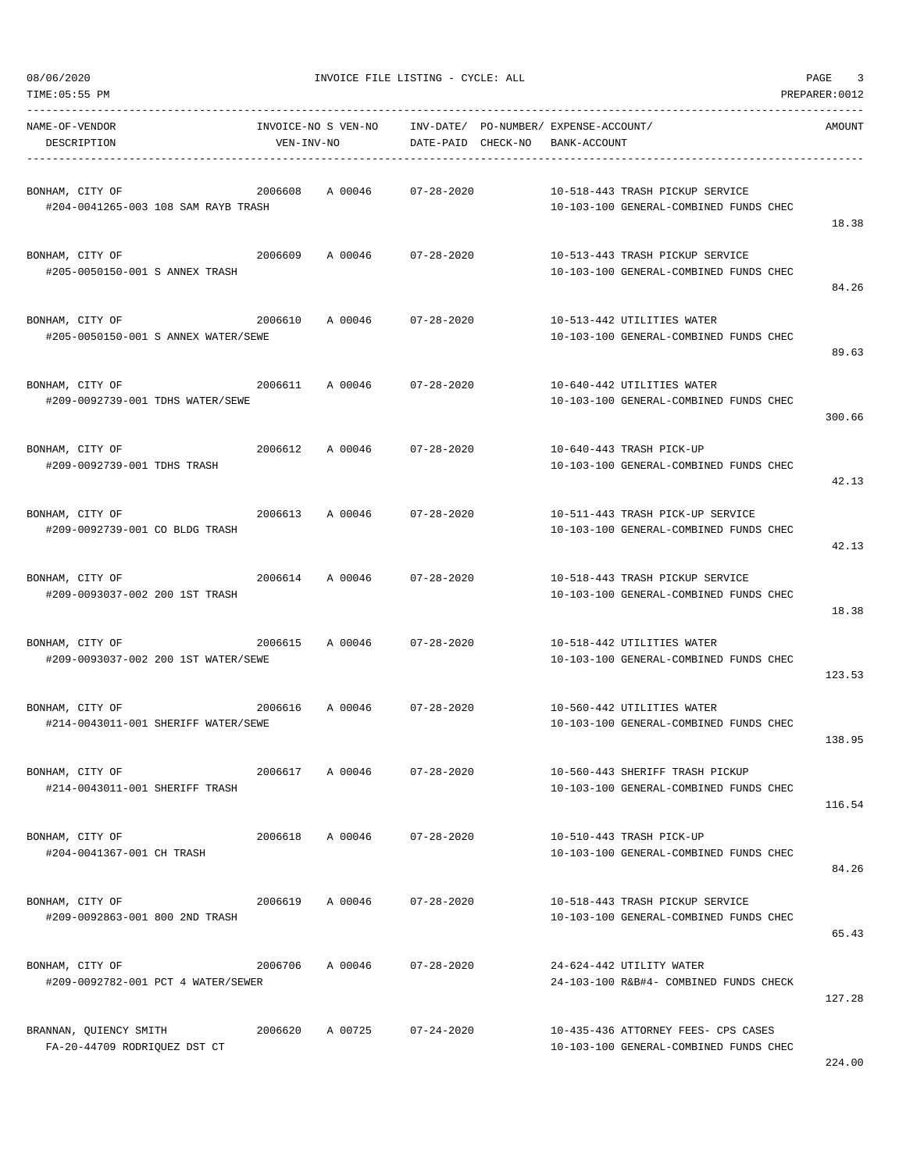| TIME: 05:55 PM                                                    |            |                     |                                                             |              |                                                                               | PREPARER: 0012 |
|-------------------------------------------------------------------|------------|---------------------|-------------------------------------------------------------|--------------|-------------------------------------------------------------------------------|----------------|
| NAME-OF-VENDOR<br>DESCRIPTION                                     | VEN-INV-NO | INVOICE-NO S VEN-NO | INV-DATE/ PO-NUMBER/ EXPENSE-ACCOUNT/<br>DATE-PAID CHECK-NO | BANK-ACCOUNT |                                                                               | AMOUNT         |
| BONHAM, CITY OF<br>#204-0041265-003 108 SAM RAYB TRASH            | 2006608    | A 00046             | $07 - 28 - 2020$                                            |              | 10-518-443 TRASH PICKUP SERVICE<br>10-103-100 GENERAL-COMBINED FUNDS CHEC     | 18.38          |
| BONHAM, CITY OF<br>#205-0050150-001 S ANNEX TRASH                 |            |                     | 2006609 A 00046 07-28-2020                                  |              | 10-513-443 TRASH PICKUP SERVICE<br>10-103-100 GENERAL-COMBINED FUNDS CHEC     | 84.26          |
| BONHAM, CITY OF<br>#205-0050150-001 S ANNEX WATER/SEWE            | 2006610    |                     | A 00046 07-28-2020                                          |              | 10-513-442 UTILITIES WATER<br>10-103-100 GENERAL-COMBINED FUNDS CHEC          | 89.63          |
| BONHAM, CITY OF<br>#209-0092739-001 TDHS WATER/SEWE               | 2006611    |                     | A 00046 07-28-2020                                          |              | 10-640-442 UTILITIES WATER<br>10-103-100 GENERAL-COMBINED FUNDS CHEC          | 300.66         |
| BONHAM, CITY OF<br>#209-0092739-001 TDHS TRASH                    | 2006612    |                     | A 00046 07-28-2020                                          |              | 10-640-443 TRASH PICK-UP<br>10-103-100 GENERAL-COMBINED FUNDS CHEC            | 42.13          |
| BONHAM, CITY OF<br>#209-0092739-001 CO BLDG TRASH                 | 2006613    | A 00046             | 07-28-2020                                                  |              | 10-511-443 TRASH PICK-UP SERVICE<br>10-103-100 GENERAL-COMBINED FUNDS CHEC    | 42.13          |
| BONHAM, CITY OF<br>#209-0093037-002 200 1ST TRASH                 | 2006614    |                     | A 00046 07-28-2020                                          |              | 10-518-443 TRASH PICKUP SERVICE<br>10-103-100 GENERAL-COMBINED FUNDS CHEC     | 18.38          |
| 2006615<br>BONHAM, CITY OF<br>#209-0093037-002 200 1ST WATER/SEWE |            | A 00046             | $07 - 28 - 2020$                                            |              | 10-518-442 UTILITIES WATER<br>10-103-100 GENERAL-COMBINED FUNDS CHEC          | 123.53         |
| BONHAM, CITY OF<br>#214-0043011-001 SHERIFF WATER/SEWE            |            |                     | 2006616 A 00046 07-28-2020                                  |              | 10-560-442 UTILITIES WATER<br>10-103-100 GENERAL-COMBINED FUNDS CHEC          | 138.95         |
| BONHAM, CITY OF<br>#214-0043011-001 SHERIFF TRASH                 | 2006617    | A 00046             | 07-28-2020                                                  |              | 10-560-443 SHERIFF TRASH PICKUP<br>10-103-100 GENERAL-COMBINED FUNDS CHEC     | 116.54         |
| BONHAM, CITY OF<br>#204-0041367-001 CH TRASH                      |            |                     | 2006618 A 00046 07-28-2020                                  |              | 10-510-443 TRASH PICK-UP<br>10-103-100 GENERAL-COMBINED FUNDS CHEC            | 84.26          |
| BONHAM, CITY OF<br>#209-0092863-001 800 2ND TRASH                 |            |                     | 2006619 A 00046 07-28-2020                                  |              | 10-518-443 TRASH PICKUP SERVICE<br>10-103-100 GENERAL-COMBINED FUNDS CHEC     | 65.43          |
| BONHAM, CITY OF<br>#209-0092782-001 PCT 4 WATER/SEWER             |            | 2006706 A 00046     | $07 - 28 - 2020$                                            |              | 24-624-442 UTILITY WATER<br>24-103-100 R&B#4- COMBINED FUNDS CHECK            | 127.28         |
| BRANNAN, QUIENCY SMITH<br>FA-20-44709 RODRIQUEZ DST CT            |            |                     | 2006620 A 00725 07-24-2020                                  |              | 10-435-436 ATTORNEY FEES- CPS CASES<br>10-103-100 GENERAL-COMBINED FUNDS CHEC | 224.00         |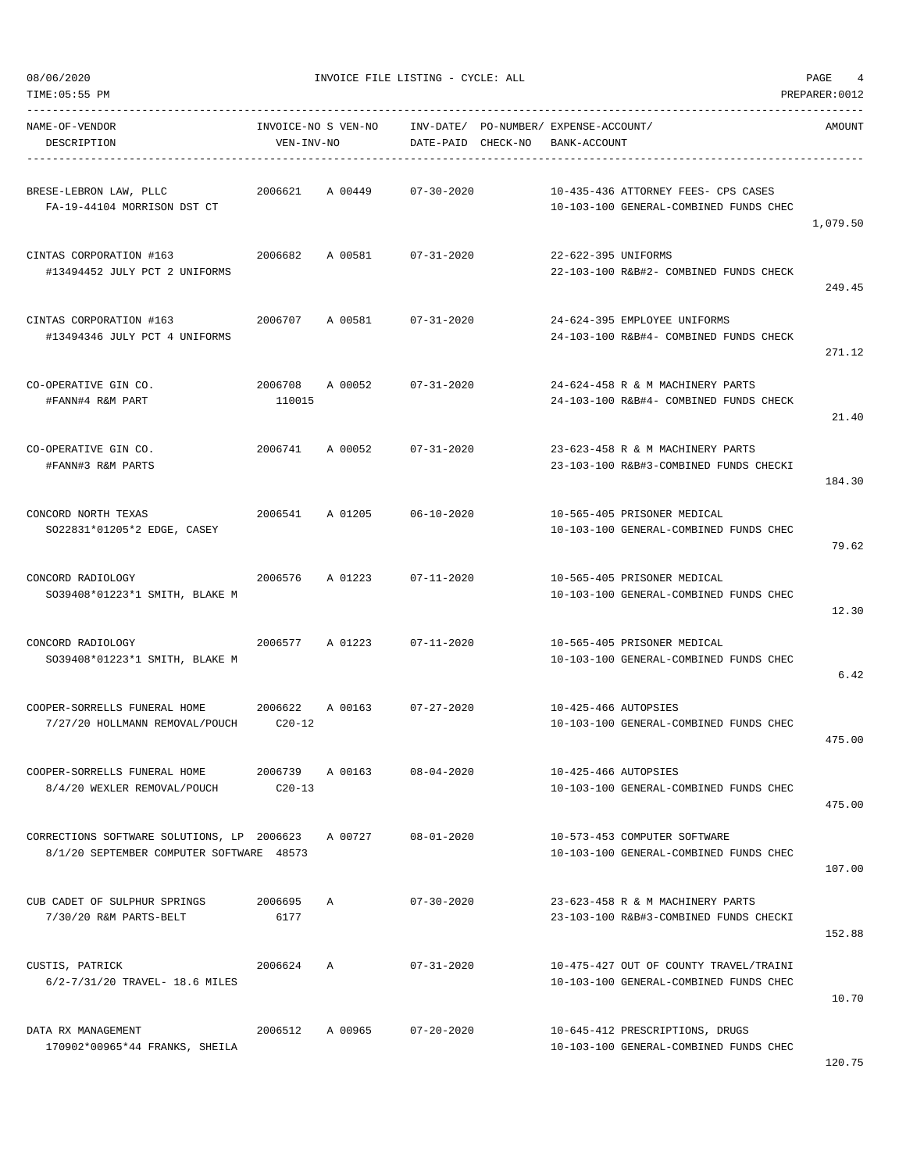| NAME-OF-VENDOR<br>DESCRIPTION                                                          | INVOICE-NO S VEN-NO<br>VEN-INV-NO |              | INV-DATE/ PO-NUMBER/ EXPENSE-ACCOUNT/<br>DATE-PAID CHECK-NO | BANK-ACCOUNT         |                                                                                  | AMOUNT   |
|----------------------------------------------------------------------------------------|-----------------------------------|--------------|-------------------------------------------------------------|----------------------|----------------------------------------------------------------------------------|----------|
| BRESE-LEBRON LAW, PLLC<br>FA-19-44104 MORRISON DST CT                                  | 2006621                           | A 00449      | $07 - 30 - 2020$                                            |                      | 10-435-436 ATTORNEY FEES- CPS CASES<br>10-103-100 GENERAL-COMBINED FUNDS CHEC    | 1,079.50 |
| CINTAS CORPORATION #163<br>#13494452 JULY PCT 2 UNIFORMS                               | 2006682                           |              | A 00581 07-31-2020                                          | 22-622-395 UNIFORMS  | 22-103-100 R&B#2- COMBINED FUNDS CHECK                                           | 249.45   |
| CINTAS CORPORATION #163<br>#13494346 JULY PCT 4 UNIFORMS                               | 2006707                           |              | A 00581 07-31-2020                                          |                      | 24-624-395 EMPLOYEE UNIFORMS<br>24-103-100 R&B#4- COMBINED FUNDS CHECK           | 271.12   |
| CO-OPERATIVE GIN CO.<br>#FANN#4 R&M PART                                               | 2006708<br>110015                 | A 00052      | 07-31-2020                                                  |                      | 24-624-458 R & M MACHINERY PARTS<br>24-103-100 R&B#4- COMBINED FUNDS CHECK       | 21.40    |
| CO-OPERATIVE GIN CO.<br>#FANN#3 R&M PARTS                                              |                                   |              | 2006741 A 00052 07-31-2020                                  |                      | 23-623-458 R & M MACHINERY PARTS<br>23-103-100 R&B#3-COMBINED FUNDS CHECKI       | 184.30   |
| CONCORD NORTH TEXAS<br>SO22831*01205*2 EDGE, CASEY                                     | 2006541                           | A 01205      | $06 - 10 - 2020$                                            |                      | 10-565-405 PRISONER MEDICAL<br>10-103-100 GENERAL-COMBINED FUNDS CHEC            | 79.62    |
| CONCORD RADIOLOGY<br>SO39408*01223*1 SMITH, BLAKE M                                    | 2006576                           | A 01223      | $07 - 11 - 2020$                                            |                      | 10-565-405 PRISONER MEDICAL<br>10-103-100 GENERAL-COMBINED FUNDS CHEC            | 12.30    |
| CONCORD RADIOLOGY<br>SO39408*01223*1 SMITH, BLAKE M                                    | 2006577                           | A 01223      | $07 - 11 - 2020$                                            |                      | 10-565-405 PRISONER MEDICAL<br>10-103-100 GENERAL-COMBINED FUNDS CHEC            | 6.42     |
| COOPER-SORRELLS FUNERAL HOME 2006622<br>7/27/20 HOLLMANN REMOVAL/POUCH C20-12          |                                   | A 00163      | $07 - 27 - 2020$                                            | 10-425-466 AUTOPSIES | 10-103-100 GENERAL-COMBINED FUNDS CHEC                                           | 475.00   |
| COOPER-SORRELLS FUNERAL HOME<br>8/4/20 WEXLER REMOVAL/POUCH                            | 2006739<br>$C20-13$               | A 00163      | $08 - 04 - 2020$                                            | 10-425-466 AUTOPSIES | 10-103-100 GENERAL-COMBINED FUNDS CHEC                                           | 475.00   |
| CORRECTIONS SOFTWARE SOLUTIONS, LP 2006623<br>8/1/20 SEPTEMBER COMPUTER SOFTWARE 48573 |                                   | A 00727      | $08 - 01 - 2020$                                            |                      | 10-573-453 COMPUTER SOFTWARE<br>10-103-100 GENERAL-COMBINED FUNDS CHEC           | 107.00   |
| CUB CADET OF SULPHUR SPRINGS<br>7/30/20 R&M PARTS-BELT                                 | 2006695<br>6177                   | $\mathbb{A}$ | $07 - 30 - 2020$                                            |                      | 23-623-458 R & M MACHINERY PARTS<br>23-103-100 R&B#3-COMBINED FUNDS CHECKI       | 152.88   |
| CUSTIS, PATRICK<br>6/2-7/31/20 TRAVEL- 18.6 MILES                                      | 2006624                           | Α            | $07 - 31 - 2020$                                            |                      | 10-475-427 OUT OF COUNTY TRAVEL/TRAINI<br>10-103-100 GENERAL-COMBINED FUNDS CHEC | 10.70    |
| DATA RX MANAGEMENT<br>170902*00965*44 FRANKS, SHEILA                                   | 2006512                           | A 00965      | $07 - 20 - 2020$                                            |                      | 10-645-412 PRESCRIPTIONS, DRUGS<br>10-103-100 GENERAL-COMBINED FUNDS CHEC        |          |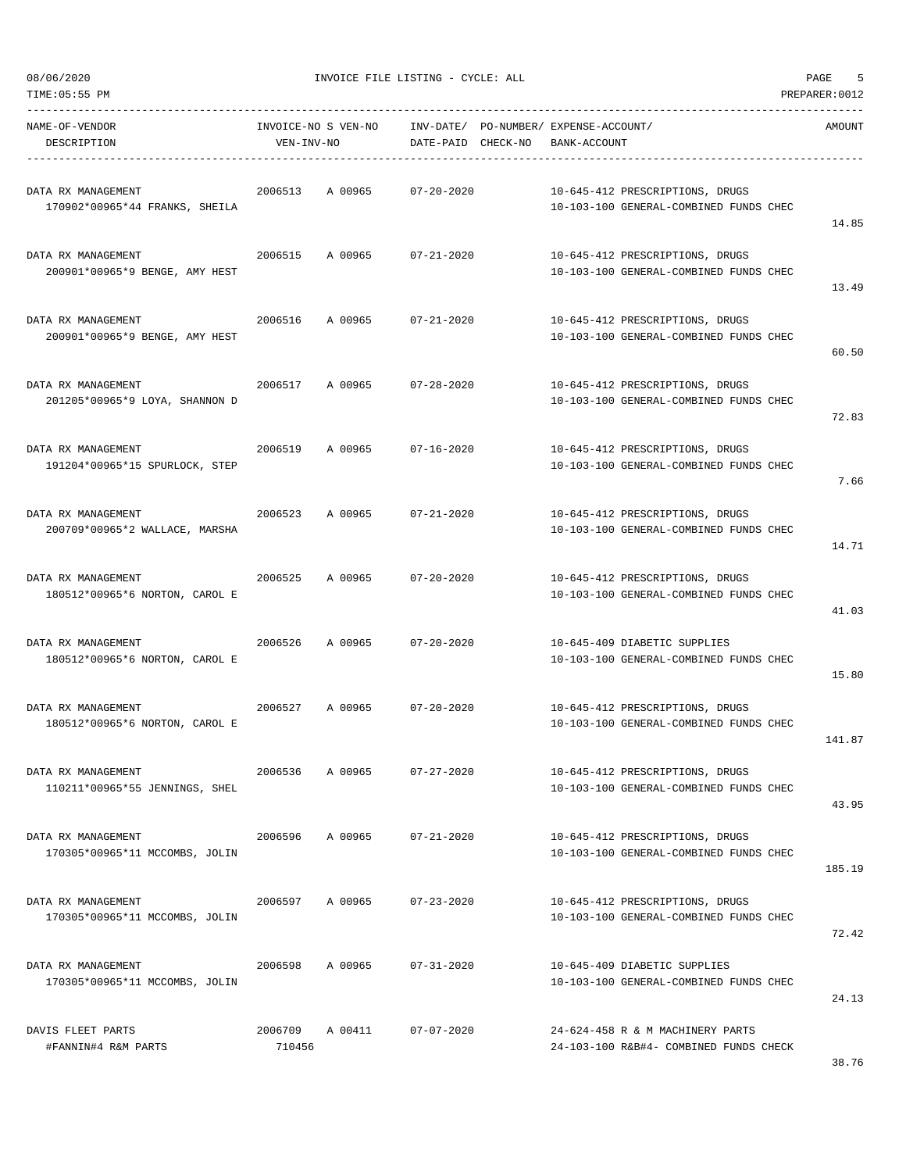| TIME:05:55 PM                                        |                                   |         |                    |                                                       |                                                                            | PREPARER: 0012 |
|------------------------------------------------------|-----------------------------------|---------|--------------------|-------------------------------------------------------|----------------------------------------------------------------------------|----------------|
| NAME-OF-VENDOR<br>DESCRIPTION                        | INVOICE-NO S VEN-NO<br>VEN-INV-NO |         | DATE-PAID CHECK-NO | INV-DATE/ PO-NUMBER/ EXPENSE-ACCOUNT/<br>BANK-ACCOUNT |                                                                            | AMOUNT         |
| DATA RX MANAGEMENT<br>170902*00965*44 FRANKS, SHEILA | 2006513                           | A 00965 | $07 - 20 - 2020$   |                                                       | 10-645-412 PRESCRIPTIONS, DRUGS<br>10-103-100 GENERAL-COMBINED FUNDS CHEC  | 14.85          |
| DATA RX MANAGEMENT<br>200901*00965*9 BENGE, AMY HEST | 2006515                           | A 00965 | $07 - 21 - 2020$   |                                                       | 10-645-412 PRESCRIPTIONS, DRUGS<br>10-103-100 GENERAL-COMBINED FUNDS CHEC  | 13.49          |
| DATA RX MANAGEMENT<br>200901*00965*9 BENGE, AMY HEST | 2006516                           | A 00965 | $07 - 21 - 2020$   |                                                       | 10-645-412 PRESCRIPTIONS, DRUGS<br>10-103-100 GENERAL-COMBINED FUNDS CHEC  | 60.50          |
| DATA RX MANAGEMENT<br>201205*00965*9 LOYA, SHANNON D | 2006517                           | A 00965 | $07 - 28 - 2020$   |                                                       | 10-645-412 PRESCRIPTIONS, DRUGS<br>10-103-100 GENERAL-COMBINED FUNDS CHEC  | 72.83          |
| DATA RX MANAGEMENT<br>191204*00965*15 SPURLOCK, STEP | 2006519                           | A 00965 | $07 - 16 - 2020$   |                                                       | 10-645-412 PRESCRIPTIONS, DRUGS<br>10-103-100 GENERAL-COMBINED FUNDS CHEC  | 7.66           |
| DATA RX MANAGEMENT<br>200709*00965*2 WALLACE, MARSHA | 2006523                           | A 00965 | $07 - 21 - 2020$   |                                                       | 10-645-412 PRESCRIPTIONS, DRUGS<br>10-103-100 GENERAL-COMBINED FUNDS CHEC  | 14.71          |
| DATA RX MANAGEMENT<br>180512*00965*6 NORTON, CAROL E | 2006525                           | A 00965 | $07 - 20 - 2020$   |                                                       | 10-645-412 PRESCRIPTIONS, DRUGS<br>10-103-100 GENERAL-COMBINED FUNDS CHEC  | 41.03          |
| DATA RX MANAGEMENT<br>180512*00965*6 NORTON, CAROL E | 2006526                           | A 00965 | $07 - 20 - 2020$   |                                                       | 10-645-409 DIABETIC SUPPLIES<br>10-103-100 GENERAL-COMBINED FUNDS CHEC     | 15.80          |
| DATA RX MANAGEMENT<br>180512*00965*6 NORTON, CAROL E | 2006527                           | A 00965 | $07 - 20 - 2020$   |                                                       | 10-645-412 PRESCRIPTIONS, DRUGS<br>10-103-100 GENERAL-COMBINED FUNDS CHEC  | 141.87         |
| DATA RX MANAGEMENT<br>110211*00965*55 JENNINGS, SHEL | 2006536                           | A 00965 | $07 - 27 - 2020$   |                                                       | 10-645-412 PRESCRIPTIONS, DRUGS<br>10-103-100 GENERAL-COMBINED FUNDS CHEC  | 43.95          |
| DATA RX MANAGEMENT<br>170305*00965*11 MCCOMBS, JOLIN | 2006596                           | A 00965 | $07 - 21 - 2020$   |                                                       | 10-645-412 PRESCRIPTIONS, DRUGS<br>10-103-100 GENERAL-COMBINED FUNDS CHEC  | 185.19         |
| DATA RX MANAGEMENT<br>170305*00965*11 MCCOMBS, JOLIN | 2006597                           | A 00965 | $07 - 23 - 2020$   |                                                       | 10-645-412 PRESCRIPTIONS, DRUGS<br>10-103-100 GENERAL-COMBINED FUNDS CHEC  | 72.42          |
| DATA RX MANAGEMENT<br>170305*00965*11 MCCOMBS, JOLIN | 2006598                           | A 00965 | $07 - 31 - 2020$   |                                                       | 10-645-409 DIABETIC SUPPLIES<br>10-103-100 GENERAL-COMBINED FUNDS CHEC     | 24.13          |
| DAVIS FLEET PARTS<br>#FANNIN#4 R&M PARTS             | 2006709<br>710456                 | A 00411 | $07 - 07 - 2020$   |                                                       | 24-624-458 R & M MACHINERY PARTS<br>24-103-100 R&B#4- COMBINED FUNDS CHECK |                |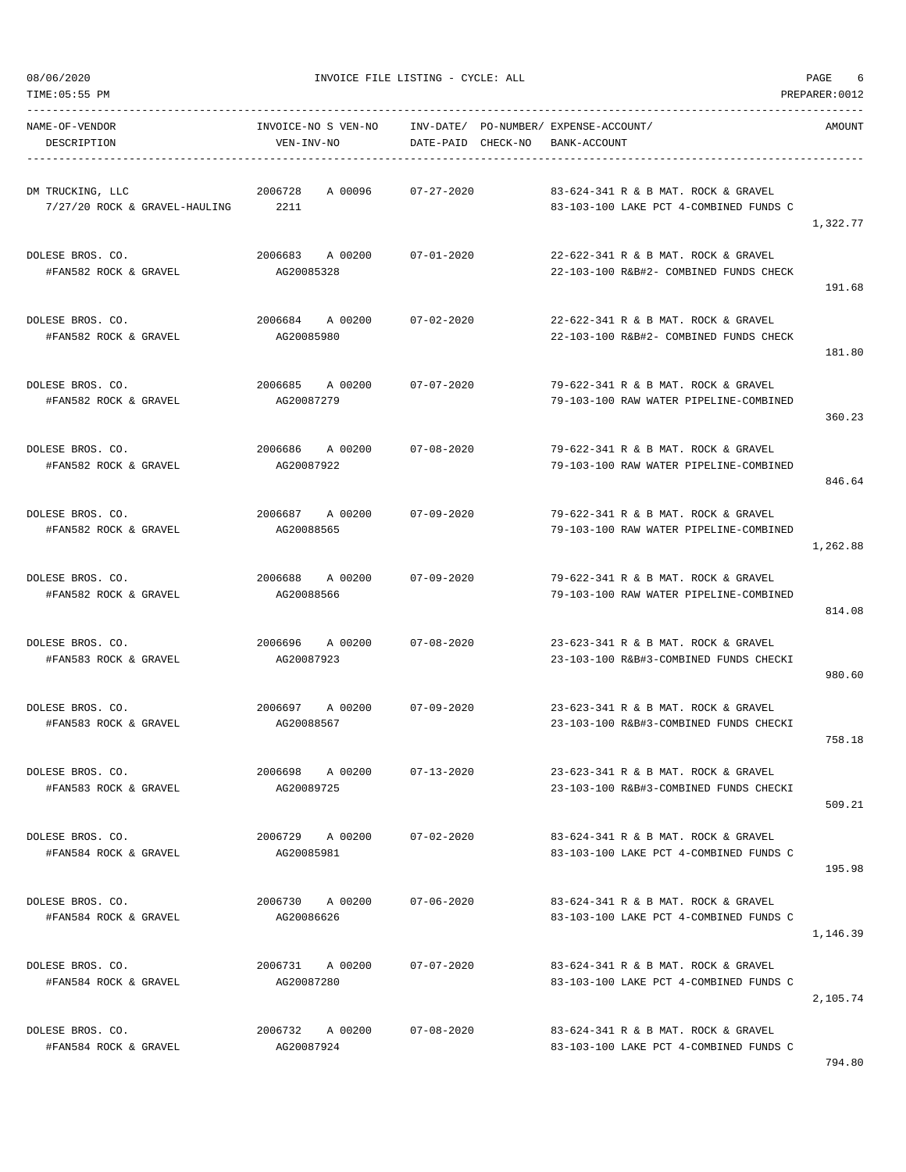| TIME:05:55 PM                                            |                                          |                                                                          |                                                                               | PREPARER: 0012 |
|----------------------------------------------------------|------------------------------------------|--------------------------------------------------------------------------|-------------------------------------------------------------------------------|----------------|
| NAME-OF-VENDOR<br>DESCRIPTION                            | INVOICE-NO S VEN-NO<br>VEN-INV-NO        | INV-DATE/ PO-NUMBER/ EXPENSE-ACCOUNT/<br>DATE-PAID CHECK-NO BANK-ACCOUNT |                                                                               | AMOUNT         |
| DM TRUCKING, LLC<br>$7/27/20$ ROCK & GRAVEL-HAULING 2211 | 2006728<br>A 00096                       | 07-27-2020                                                               | 83-624-341 R & B MAT. ROCK & GRAVEL<br>83-103-100 LAKE PCT 4-COMBINED FUNDS C | 1,322.77       |
| DOLESE BROS. CO.<br>#FAN582 ROCK & GRAVEL                | 2006683 A 00200<br>AG20085328            | $07 - 01 - 2020$                                                         | 22-622-341 R & B MAT. ROCK & GRAVEL<br>22-103-100 R&B#2- COMBINED FUNDS CHECK | 191.68         |
| DOLESE BROS. CO.<br>#FAN582 ROCK & GRAVEL                | 2006684 A 00200<br>AG20085980            | 07-02-2020                                                               | 22-622-341 R & B MAT. ROCK & GRAVEL<br>22-103-100 R&B#2- COMBINED FUNDS CHECK | 181.80         |
| DOLESE BROS. CO.<br>#FAN582 ROCK & GRAVEL                | 2006685 A 00200<br>AG20087279            | $07 - 07 - 2020$                                                         | 79-622-341 R & B MAT, ROCK & GRAVEL<br>79-103-100 RAW WATER PIPELINE-COMBINED | 360.23         |
| DOLESE BROS. CO.<br>#FAN582 ROCK & GRAVEL                | 2006686 A00200<br>AG20087922             | 07-08-2020                                                               | 79-622-341 R & B MAT. ROCK & GRAVEL<br>79-103-100 RAW WATER PIPELINE-COMBINED | 846.64         |
| DOLESE BROS. CO.<br>#FAN582 ROCK & GRAVEL                | 2006687 A00200 07-09-2020<br>AG20088565  |                                                                          | 79-622-341 R & B MAT. ROCK & GRAVEL<br>79-103-100 RAW WATER PIPELINE-COMBINED | 1,262.88       |
| DOLESE BROS. CO.<br>#FAN582 ROCK & GRAVEL                | 2006688 A 00200<br>AG20088566            | 07-09-2020                                                               | 79-622-341 R & B MAT. ROCK & GRAVEL<br>79-103-100 RAW WATER PIPELINE-COMBINED | 814.08         |
| DOLESE BROS. CO.<br>#FAN583 ROCK & GRAVEL                | 2006696 A00200<br>AG20087923             | $07 - 08 - 2020$                                                         | 23-623-341 R & B MAT. ROCK & GRAVEL<br>23-103-100 R&B#3-COMBINED FUNDS CHECKI | 980.60         |
| DOLESE BROS. CO.<br>#FAN583 ROCK & GRAVEL                | 2006697 A 00200 07-09-2020<br>AG20088567 |                                                                          | 23-623-341 R & B MAT. ROCK & GRAVEL<br>23-103-100 R&B#3-COMBINED FUNDS CHECKI | 758.18         |
| DOLESE BROS. CO.<br>#FAN583 ROCK & GRAVEL                | 2006698 A 00200<br>AG20089725            | $07 - 13 - 2020$                                                         | 23-623-341 R & B MAT. ROCK & GRAVEL<br>23-103-100 R&B#3-COMBINED FUNDS CHECKI | 509.21         |
| DOLESE BROS. CO.<br>#FAN584 ROCK & GRAVEL                | 2006729 A 00200<br>AG20085981            | 07-02-2020                                                               | 83-624-341 R & B MAT. ROCK & GRAVEL<br>83-103-100 LAKE PCT 4-COMBINED FUNDS C | 195.98         |
| DOLESE BROS. CO.<br>#FAN584 ROCK & GRAVEL                | 2006730 A 00200<br>AG20086626            | $07 - 06 - 2020$                                                         | 83-624-341 R & B MAT, ROCK & GRAVEL<br>83-103-100 LAKE PCT 4-COMBINED FUNDS C | 1,146.39       |
| DOLESE BROS. CO.<br>#FAN584 ROCK & GRAVEL                | 2006731 A 00200<br>AG20087280            | $07 - 07 - 2020$                                                         | 83-624-341 R & B MAT. ROCK & GRAVEL<br>83-103-100 LAKE PCT 4-COMBINED FUNDS C | 2,105.74       |
| DOLESE BROS. CO.<br>#FAN584 ROCK & GRAVEL                | 2006732 A 00200<br>AG20087924            | $07 - 08 - 2020$                                                         | 83-624-341 R & B MAT. ROCK & GRAVEL<br>83-103-100 LAKE PCT 4-COMBINED FUNDS C |                |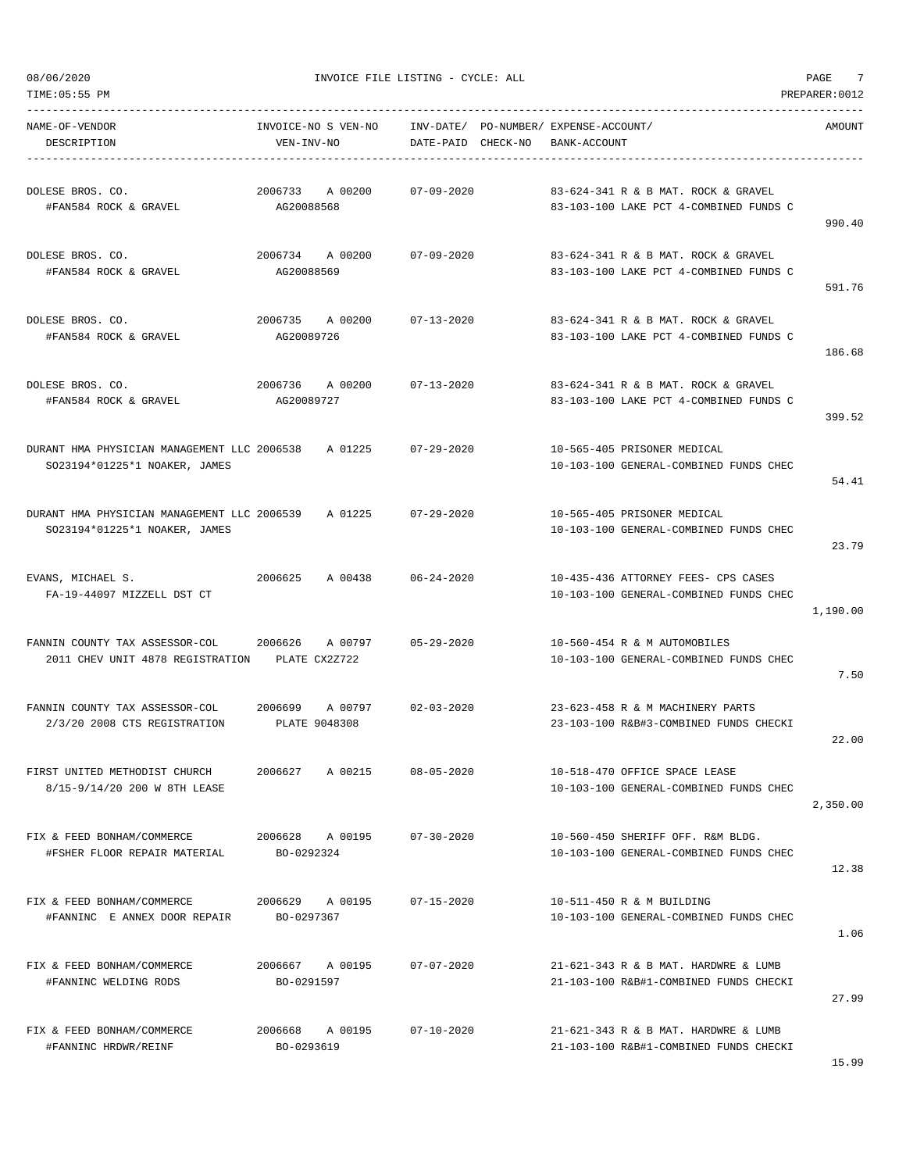TIME:05:55 PM PREPARER:0012

 $08/06/2020$  PAGE  $7$ 

| NAME-OF-VENDOR<br>DESCRIPTION                                                | INVOICE-NO S VEN-NO<br>VEN-INV-NO   | INV-DATE/ PO-NUMBER/ EXPENSE-ACCOUNT/<br>DATE-PAID CHECK-NO | BANK-ACCOUNT                                                                   | AMOUNT   |
|------------------------------------------------------------------------------|-------------------------------------|-------------------------------------------------------------|--------------------------------------------------------------------------------|----------|
| DOLESE BROS. CO.<br>#FAN584 ROCK & GRAVEL                                    | 2006733<br>A 00200<br>AG20088568    | $07 - 09 - 2020$                                            | 83-624-341 R & B MAT. ROCK & GRAVEL<br>83-103-100 LAKE PCT 4-COMBINED FUNDS C  | 990.40   |
| DOLESE BROS. CO.<br>#FAN584 ROCK & GRAVEL                                    | 2006734 A 00200<br>AG20088569       | $07 - 09 - 2020$                                            | 83-624-341 R & B MAT, ROCK & GRAVEL<br>83-103-100 LAKE PCT 4-COMBINED FUNDS C  | 591.76   |
| DOLESE BROS. CO.<br>#FAN584 ROCK & GRAVEL                                    | 2006735 A 00200<br>AG20089726       | 07-13-2020                                                  | 83-624-341 R & B MAT. ROCK & GRAVEL<br>83-103-100 LAKE PCT 4-COMBINED FUNDS C  | 186.68   |
| DOLESE BROS. CO.<br>#FAN584 ROCK & GRAVEL                                    | 2006736<br>A 00200<br>AG20089727    | $07 - 13 - 2020$                                            | 83-624-341 R & B MAT. ROCK & GRAVEL<br>83-103-100 LAKE PCT 4-COMBINED FUNDS C  | 399.52   |
| DURANT HMA PHYSICIAN MANAGEMENT LLC 2006538<br>SO23194*01225*1 NOAKER, JAMES | A 01225                             | $07 - 29 - 2020$                                            | 10-565-405 PRISONER MEDICAL<br>10-103-100 GENERAL-COMBINED FUNDS CHEC          | 54.41    |
| DURANT HMA PHYSICIAN MANAGEMENT LLC 2006539<br>SO23194*01225*1 NOAKER, JAMES | A 01225                             | $07 - 29 - 2020$                                            | 10-565-405 PRISONER MEDICAL<br>10-103-100 GENERAL-COMBINED FUNDS CHEC          | 23.79    |
| EVANS, MICHAEL S.<br>FA-19-44097 MIZZELL DST CT                              | 2006625<br>A 00438                  | $06 - 24 - 2020$                                            | 10-435-436 ATTORNEY FEES- CPS CASES<br>10-103-100 GENERAL-COMBINED FUNDS CHEC  | 1,190.00 |
| FANNIN COUNTY TAX ASSESSOR-COL<br>2011 CHEV UNIT 4878 REGISTRATION           | 2006626<br>A 00797<br>PLATE CX2Z722 | $05 - 29 - 2020$                                            | 10-560-454 R & M AUTOMOBILES<br>10-103-100 GENERAL-COMBINED FUNDS CHEC         | 7.50     |
| FANNIN COUNTY TAX ASSESSOR-COL<br>2/3/20 2008 CTS REGISTRATION               | A 00797<br>2006699<br>PLATE 9048308 | $02 - 03 - 2020$                                            | 23-623-458 R & M MACHINERY PARTS<br>23-103-100 R&B#3-COMBINED FUNDS CHECKI     | 22.00    |
| FIRST UNITED METHODIST CHURCH<br>8/15-9/14/20 200 W 8TH LEASE                | A 00215<br>2006627                  | $08 - 05 - 2020$                                            | 10-518-470 OFFICE SPACE LEASE<br>10-103-100 GENERAL-COMBINED FUNDS CHEC        | 2,350.00 |
| FIX & FEED BONHAM/COMMERCE<br>#FSHER FLOOR REPAIR MATERIAL                   | 2006628 A 00195<br>BO-0292324       | $07 - 30 - 2020$                                            | 10-560-450 SHERIFF OFF. R&M BLDG.<br>10-103-100 GENERAL-COMBINED FUNDS CHEC    | 12.38    |
| FIX & FEED BONHAM/COMMERCE<br>#FANNINC E ANNEX DOOR REPAIR                   | 2006629 A 00195<br>BO-0297367       | $07 - 15 - 2020$                                            | 10-511-450 R & M BUILDING<br>10-103-100 GENERAL-COMBINED FUNDS CHEC            | 1.06     |
| FIX & FEED BONHAM/COMMERCE<br>#FANNINC WELDING RODS                          | 2006667 A 00195<br>BO-0291597       | $07 - 07 - 2020$                                            | 21-621-343 R & B MAT. HARDWRE & LUMB<br>21-103-100 R&B#1-COMBINED FUNDS CHECKI | 27.99    |
| FIX & FEED BONHAM/COMMERCE<br>#FANNINC HRDWR/REINF                           | A 00195<br>2006668<br>BO-0293619    | $07 - 10 - 2020$                                            | 21-621-343 R & B MAT. HARDWRE & LUMB<br>21-103-100 R&B#1-COMBINED FUNDS CHECKI |          |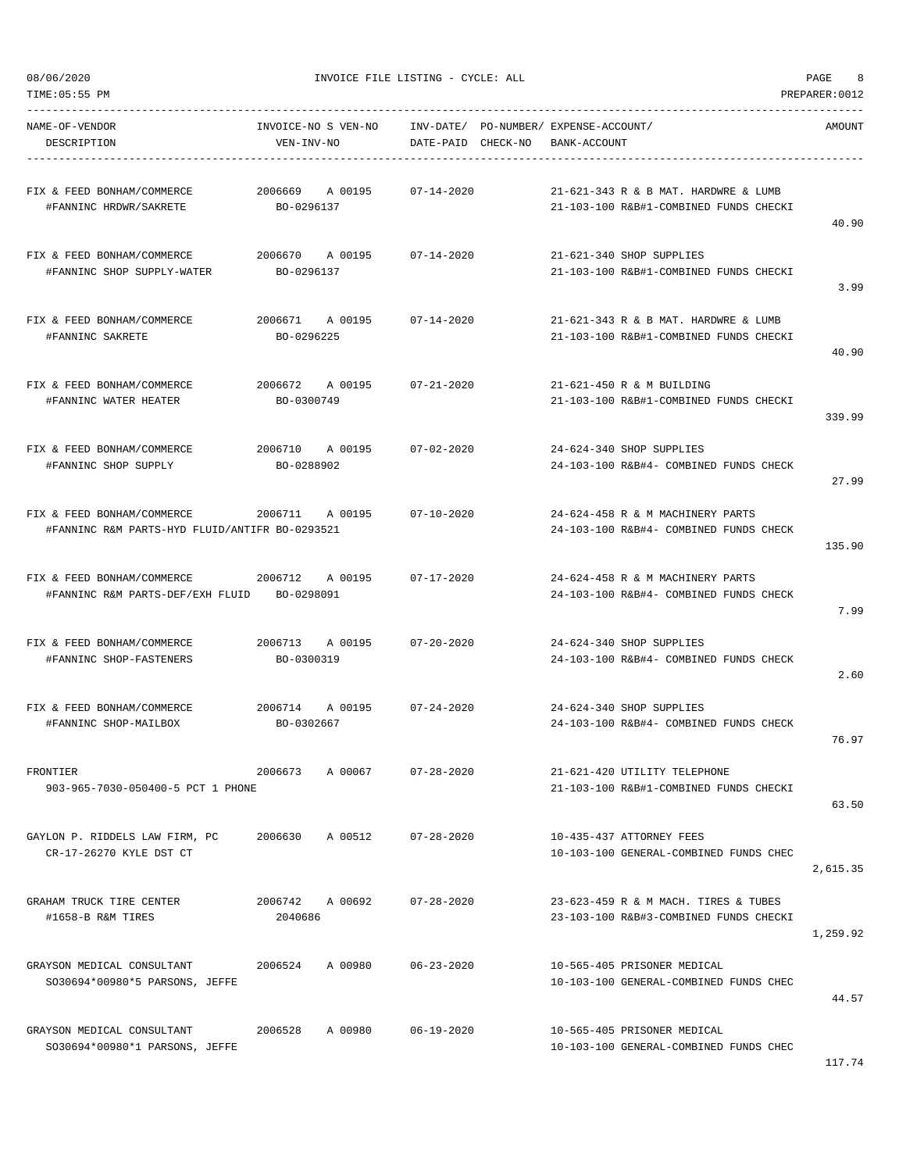NAME-OF-VENDOR INVOICE-NO S VEN-NO INV-DATE/ PO-NUMBER/ EXPENSE-ACCOUNT/ AMOUNT

TIME:05:55 PM PREPARER:0012 -----------------------------------------------------------------------------------------------------------------------------------

| DESCRIPTION                                                                  | VEN-INV-NO                       | DATE-PAID CHECK-NO | BANK-ACCOUNT                                                                   |          |
|------------------------------------------------------------------------------|----------------------------------|--------------------|--------------------------------------------------------------------------------|----------|
| FIX & FEED BONHAM/COMMERCE<br>#FANNINC HRDWR/SAKRETE                         | 2006669<br>A 00195<br>BO-0296137 | $07 - 14 - 2020$   | 21-621-343 R & B MAT. HARDWRE & LUMB<br>21-103-100 R&B#1-COMBINED FUNDS CHECKI | 40.90    |
| FIX & FEED BONHAM/COMMERCE<br>#FANNINC SHOP SUPPLY-WATER                     | 2006670 A 00195<br>BO-0296137    | 07-14-2020         | 21-621-340 SHOP SUPPLIES<br>21-103-100 R&B#1-COMBINED FUNDS CHECKI             | 3.99     |
| FIX & FEED BONHAM/COMMERCE<br>#FANNINC SAKRETE                               | 2006671 A 00195<br>BO-0296225    | $07 - 14 - 2020$   | 21-621-343 R & B MAT. HARDWRE & LUMB<br>21-103-100 R&B#1-COMBINED FUNDS CHECKI | 40.90    |
| FIX & FEED BONHAM/COMMERCE<br>#FANNINC WATER HEATER                          | 2006672<br>A 00195<br>BO-0300749 | $07 - 21 - 2020$   | 21-621-450 R & M BUILDING<br>21-103-100 R&B#1-COMBINED FUNDS CHECKI            | 339.99   |
| FIX & FEED BONHAM/COMMERCE<br>#FANNINC SHOP SUPPLY                           | 2006710 A 00195<br>BO-0288902    | $07 - 02 - 2020$   | 24-624-340 SHOP SUPPLIES<br>24-103-100 R&B#4- COMBINED FUNDS CHECK             | 27.99    |
| FIX & FEED BONHAM/COMMERCE<br>#FANNINC R&M PARTS-HYD FLUID/ANTIFR BO-0293521 | 2006711 A 00195                  | $07 - 10 - 2020$   | 24-624-458 R & M MACHINERY PARTS<br>24-103-100 R&B#4- COMBINED FUNDS CHECK     | 135.90   |
| FIX & FEED BONHAM/COMMERCE<br>#FANNINC R&M PARTS-DEF/EXH FLUID BO-0298091    | 2006712<br>A 00195               | 07-17-2020         | 24-624-458 R & M MACHINERY PARTS<br>24-103-100 R&B#4- COMBINED FUNDS CHECK     | 7.99     |
| FIX & FEED BONHAM/COMMERCE<br>#FANNINC SHOP-FASTENERS                        | 2006713 A 00195<br>BO-0300319    | $07 - 20 - 2020$   | 24-624-340 SHOP SUPPLIES<br>24-103-100 R&B#4- COMBINED FUNDS CHECK             | 2.60     |
| FIX & FEED BONHAM/COMMERCE<br>#FANNINC SHOP-MAILBOX                          | 2006714 A 00195<br>BO-0302667    | $07 - 24 - 2020$   | 24-624-340 SHOP SUPPLIES<br>24-103-100 R&B#4- COMBINED FUNDS CHECK             | 76.97    |
| FRONTIER<br>903-965-7030-050400-5 PCT 1 PHONE                                | 2006673<br>A 00067               | 07-28-2020         | 21-621-420 UTILITY TELEPHONE<br>21-103-100 R&B#1-COMBINED FUNDS CHECKI         | 63.50    |
| GAYLON P. RIDDELS LAW FIRM, PC<br>CR-17-26270 KYLE DST CT                    | 2006630<br>A 00512               | 07-28-2020         | 10-435-437 ATTORNEY FEES<br>10-103-100 GENERAL-COMBINED FUNDS CHEC             | 2,615.35 |
| GRAHAM TRUCK TIRE CENTER<br>#1658-B R&M TIRES                                | 2006742 A 00692<br>2040686       | $07 - 28 - 2020$   | 23-623-459 R & M MACH. TIRES & TUBES<br>23-103-100 R&B#3-COMBINED FUNDS CHECKI | 1,259.92 |
| GRAYSON MEDICAL CONSULTANT<br>SO30694*00980*5 PARSONS, JEFFE                 | 2006524<br>A 00980               | 06-23-2020         | 10-565-405 PRISONER MEDICAL<br>10-103-100 GENERAL-COMBINED FUNDS CHEC          | 44.57    |
| GRAYSON MEDICAL CONSULTANT<br>SO30694*00980*1 PARSONS, JEFFE                 | 2006528<br>A 00980               | $06 - 19 - 2020$   | 10-565-405 PRISONER MEDICAL<br>10-103-100 GENERAL-COMBINED FUNDS CHEC          |          |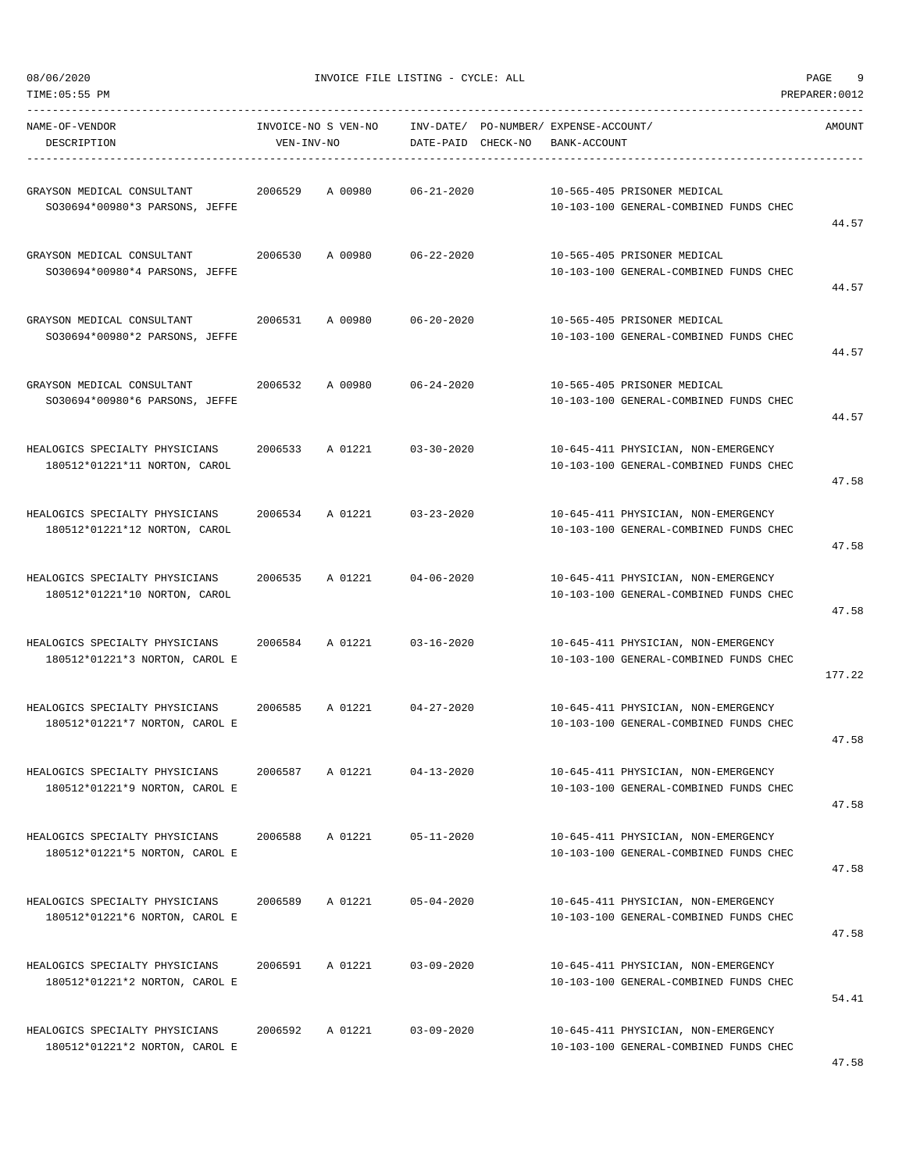| TIME: 05:55 PM                                                   |            |                     |                    |                                                                               | PREPARER: 0012 |
|------------------------------------------------------------------|------------|---------------------|--------------------|-------------------------------------------------------------------------------|----------------|
| NAME-OF-VENDOR<br>DESCRIPTION                                    | VEN-INV-NO | INVOICE-NO S VEN-NO | DATE-PAID CHECK-NO | INV-DATE/ PO-NUMBER/ EXPENSE-ACCOUNT/<br>BANK-ACCOUNT                         | AMOUNT         |
| GRAYSON MEDICAL CONSULTANT<br>SO30694*00980*3 PARSONS, JEFFE     | 2006529    | A 00980             | $06 - 21 - 2020$   | 10-565-405 PRISONER MEDICAL<br>10-103-100 GENERAL-COMBINED FUNDS CHEC         | 44.57          |
| GRAYSON MEDICAL CONSULTANT<br>SO30694*00980*4 PARSONS, JEFFE     | 2006530    | A 00980             | $06 - 22 - 2020$   | 10-565-405 PRISONER MEDICAL<br>10-103-100 GENERAL-COMBINED FUNDS CHEC         | 44.57          |
| GRAYSON MEDICAL CONSULTANT<br>SO30694*00980*2 PARSONS, JEFFE     | 2006531    | A 00980             | $06 - 20 - 2020$   | 10-565-405 PRISONER MEDICAL<br>10-103-100 GENERAL-COMBINED FUNDS CHEC         | 44.57          |
| GRAYSON MEDICAL CONSULTANT<br>SO30694*00980*6 PARSONS, JEFFE     | 2006532    | A 00980             | $06 - 24 - 2020$   | 10-565-405 PRISONER MEDICAL<br>10-103-100 GENERAL-COMBINED FUNDS CHEC         | 44.57          |
| HEALOGICS SPECIALTY PHYSICIANS<br>180512*01221*11 NORTON, CAROL  | 2006533    | A 01221             | $03 - 30 - 2020$   | 10-645-411 PHYSICIAN, NON-EMERGENCY<br>10-103-100 GENERAL-COMBINED FUNDS CHEC | 47.58          |
| HEALOGICS SPECIALTY PHYSICIANS<br>180512*01221*12 NORTON, CAROL  | 2006534    | A 01221             | $03 - 23 - 2020$   | 10-645-411 PHYSICIAN, NON-EMERGENCY<br>10-103-100 GENERAL-COMBINED FUNDS CHEC | 47.58          |
| HEALOGICS SPECIALTY PHYSICIANS<br>180512*01221*10 NORTON, CAROL  | 2006535    | A 01221             | $04 - 06 - 2020$   | 10-645-411 PHYSICIAN, NON-EMERGENCY<br>10-103-100 GENERAL-COMBINED FUNDS CHEC | 47.58          |
| HEALOGICS SPECIALTY PHYSICIANS<br>180512*01221*3 NORTON, CAROL E | 2006584    | A 01221             | $03 - 16 - 2020$   | 10-645-411 PHYSICIAN, NON-EMERGENCY<br>10-103-100 GENERAL-COMBINED FUNDS CHEC | 177.22         |
| HEALOGICS SPECIALTY PHYSICIANS<br>180512*01221*7 NORTON, CAROL E | 2006585    | A 01221             | $04 - 27 - 2020$   | 10-645-411 PHYSICIAN, NON-EMERGENCY<br>10-103-100 GENERAL-COMBINED FUNDS CHEC | 47.58          |
| HEALOGICS SPECIALTY PHYSICIANS<br>180512*01221*9 NORTON, CAROL E | 2006587    | A 01221             | $04 - 13 - 2020$   | 10-645-411 PHYSICIAN, NON-EMERGENCY<br>10-103-100 GENERAL-COMBINED FUNDS CHEC | 47.58          |
| HEALOGICS SPECIALTY PHYSICIANS<br>180512*01221*5 NORTON, CAROL E | 2006588    | A 01221             | $05 - 11 - 2020$   | 10-645-411 PHYSICIAN, NON-EMERGENCY<br>10-103-100 GENERAL-COMBINED FUNDS CHEC | 47.58          |
| HEALOGICS SPECIALTY PHYSICIANS<br>180512*01221*6 NORTON, CAROL E | 2006589    | A 01221             | $05 - 04 - 2020$   | 10-645-411 PHYSICIAN, NON-EMERGENCY<br>10-103-100 GENERAL-COMBINED FUNDS CHEC | 47.58          |
| HEALOGICS SPECIALTY PHYSICIANS<br>180512*01221*2 NORTON, CAROL E | 2006591    | A 01221             | $03 - 09 - 2020$   | 10-645-411 PHYSICIAN, NON-EMERGENCY<br>10-103-100 GENERAL-COMBINED FUNDS CHEC | 54.41          |
| HEALOGICS SPECIALTY PHYSICIANS<br>180512*01221*2 NORTON, CAROL E | 2006592    | A 01221             | $03 - 09 - 2020$   | 10-645-411 PHYSICIAN, NON-EMERGENCY<br>10-103-100 GENERAL-COMBINED FUNDS CHEC |                |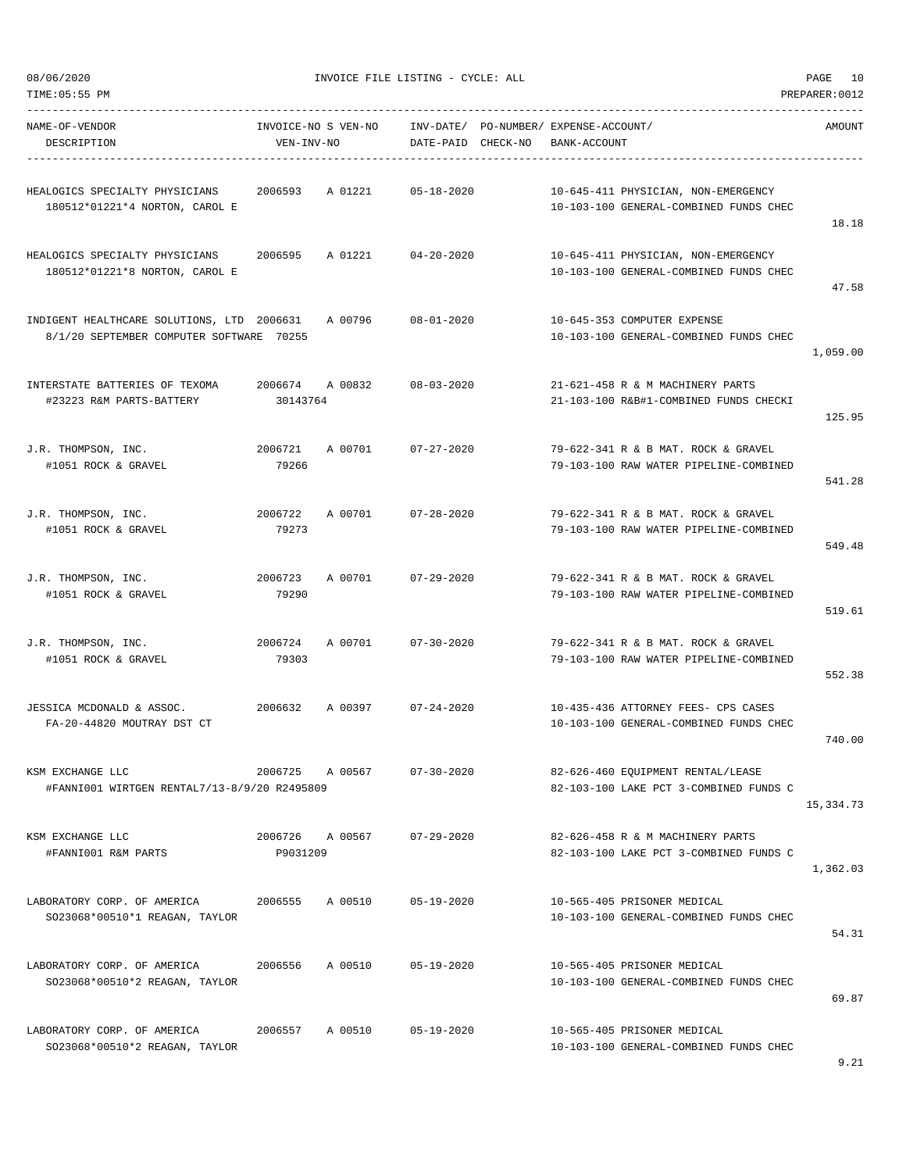| TIME:05:55 PM                                                                          |                                   |         |                    |                                                       |                                                                               | PREPARER: 0012 |
|----------------------------------------------------------------------------------------|-----------------------------------|---------|--------------------|-------------------------------------------------------|-------------------------------------------------------------------------------|----------------|
| NAME-OF-VENDOR<br>DESCRIPTION                                                          | INVOICE-NO S VEN-NO<br>VEN-INV-NO |         | DATE-PAID CHECK-NO | INV-DATE/ PO-NUMBER/ EXPENSE-ACCOUNT/<br>BANK-ACCOUNT |                                                                               | AMOUNT         |
| HEALOGICS SPECIALTY PHYSICIANS<br>180512*01221*4 NORTON, CAROL E                       | 2006593                           | A 01221 | $05 - 18 - 2020$   |                                                       | 10-645-411 PHYSICIAN, NON-EMERGENCY<br>10-103-100 GENERAL-COMBINED FUNDS CHEC | 18.18          |
| HEALOGICS SPECIALTY PHYSICIANS<br>180512*01221*8 NORTON, CAROL E                       | 2006595                           | A 01221 | $04 - 20 - 2020$   |                                                       | 10-645-411 PHYSICIAN, NON-EMERGENCY<br>10-103-100 GENERAL-COMBINED FUNDS CHEC | 47.58          |
| INDIGENT HEALTHCARE SOLUTIONS, LTD 2006631<br>8/1/20 SEPTEMBER COMPUTER SOFTWARE 70255 |                                   | A 00796 | $08 - 01 - 2020$   |                                                       | 10-645-353 COMPUTER EXPENSE<br>10-103-100 GENERAL-COMBINED FUNDS CHEC         | 1,059.00       |
| INTERSTATE BATTERIES OF TEXOMA<br>#23223 R&M PARTS-BATTERY                             | 2006674 A 00832<br>30143764       |         | $08 - 03 - 2020$   |                                                       | 21-621-458 R & M MACHINERY PARTS<br>21-103-100 R&B#1-COMBINED FUNDS CHECKI    | 125.95         |
| J.R. THOMPSON, INC.<br>#1051 ROCK & GRAVEL                                             | 2006721<br>79266                  | A 00701 | $07 - 27 - 2020$   |                                                       | 79-622-341 R & B MAT, ROCK & GRAVEL<br>79-103-100 RAW WATER PIPELINE-COMBINED | 541.28         |
| J.R. THOMPSON, INC.<br>#1051 ROCK & GRAVEL                                             | 2006722<br>79273                  | A 00701 | $07 - 28 - 2020$   |                                                       | 79-622-341 R & B MAT. ROCK & GRAVEL<br>79-103-100 RAW WATER PIPELINE-COMBINED | 549.48         |
| J.R. THOMPSON, INC.<br>#1051 ROCK & GRAVEL                                             | 2006723<br>79290                  | A 00701 | 07-29-2020         |                                                       | 79-622-341 R & B MAT. ROCK & GRAVEL<br>79-103-100 RAW WATER PIPELINE-COMBINED | 519.61         |
| J.R. THOMPSON, INC.<br>#1051 ROCK & GRAVEL                                             | 2006724<br>79303                  | A 00701 | $07 - 30 - 2020$   |                                                       | 79-622-341 R & B MAT. ROCK & GRAVEL<br>79-103-100 RAW WATER PIPELINE-COMBINED | 552.38         |
| JESSICA MCDONALD & ASSOC.<br>FA-20-44820 MOUTRAY DST CT                                | 2006632                           | A 00397 | $07 - 24 - 2020$   |                                                       | 10-435-436 ATTORNEY FEES- CPS CASES<br>10-103-100 GENERAL-COMBINED FUNDS CHEC | 740.00         |
| KSM EXCHANGE LLC<br>#FANNI001 WIRTGEN RENTAL7/13-8/9/20 R2495809                       | 2006725                           | A 00567 | $07 - 30 - 2020$   |                                                       | 82-626-460 EQUIPMENT RENTAL/LEASE<br>82-103-100 LAKE PCT 3-COMBINED FUNDS C   | 15,334.73      |
| KSM EXCHANGE LLC<br>#FANNI001 R&M PARTS                                                | 2006726 A 00567<br>P9031209       |         | $07 - 29 - 2020$   |                                                       | 82-626-458 R & M MACHINERY PARTS<br>82-103-100 LAKE PCT 3-COMBINED FUNDS C    | 1,362.03       |
| LABORATORY CORP. OF AMERICA<br>SO23068*00510*1 REAGAN, TAYLOR                          | 2006555                           | A 00510 | $05 - 19 - 2020$   |                                                       | 10-565-405 PRISONER MEDICAL<br>10-103-100 GENERAL-COMBINED FUNDS CHEC         | 54.31          |
| LABORATORY CORP. OF AMERICA<br>SO23068*00510*2 REAGAN, TAYLOR                          | 2006556                           | A 00510 | $05 - 19 - 2020$   |                                                       | 10-565-405 PRISONER MEDICAL<br>10-103-100 GENERAL-COMBINED FUNDS CHEC         | 69.87          |
| LABORATORY CORP. OF AMERICA<br>SO23068*00510*2 REAGAN, TAYLOR                          | 2006557                           | A 00510 | $05 - 19 - 2020$   |                                                       | 10-565-405 PRISONER MEDICAL<br>10-103-100 GENERAL-COMBINED FUNDS CHEC         |                |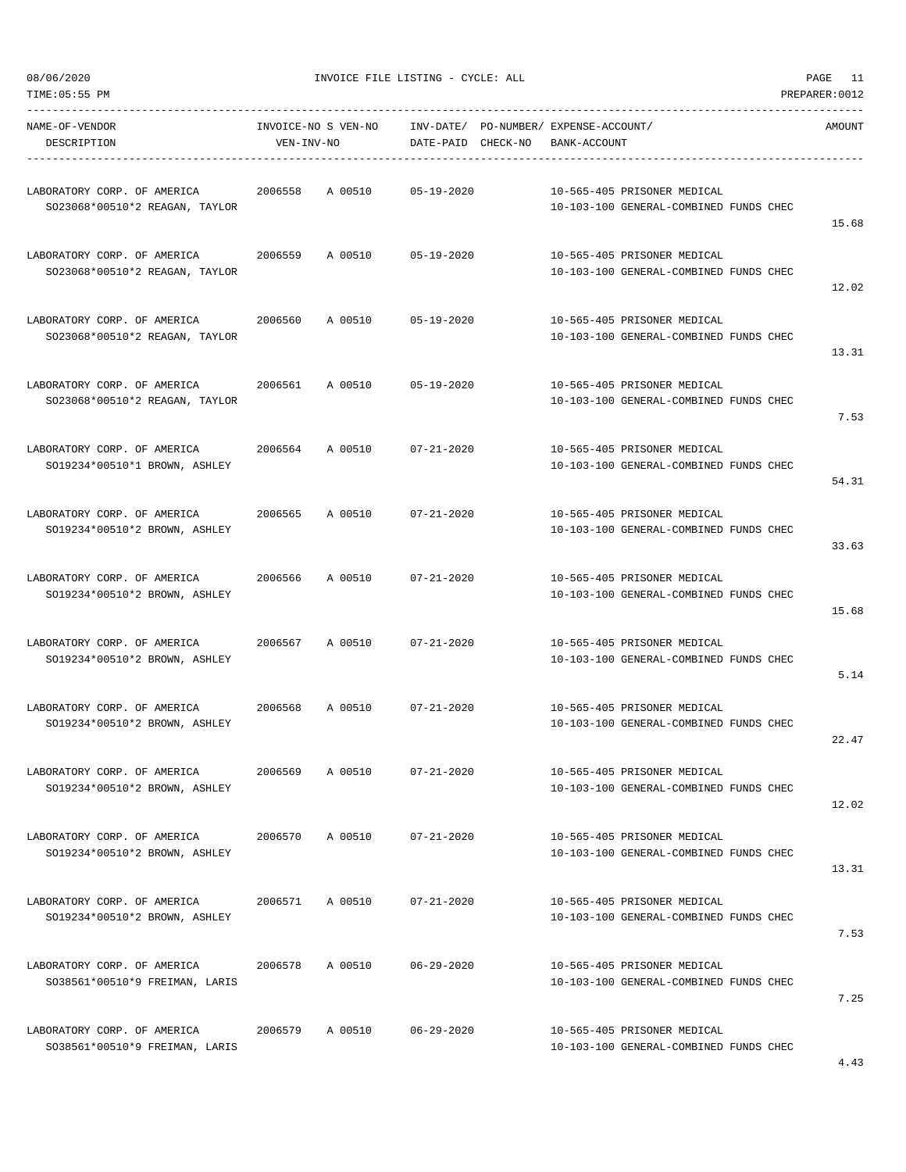TIME:05:55 PM PREPARER:0012

08/06/2020 INVOICE FILE LISTING - CYCLE: ALL PAGE 11

| NAME-OF-VENDOR<br>DESCRIPTION                                 | INVOICE-NO S VEN-NO<br>VEN-INV-NO |         | DATE-PAID CHECK-NO | INV-DATE/ PO-NUMBER/ EXPENSE-ACCOUNT/ | BANK-ACCOUNT |                                                                       | AMOUNT |
|---------------------------------------------------------------|-----------------------------------|---------|--------------------|---------------------------------------|--------------|-----------------------------------------------------------------------|--------|
| LABORATORY CORP. OF AMERICA<br>SO23068*00510*2 REAGAN, TAYLOR | 2006558                           | A 00510 | 05-19-2020         |                                       |              | 10-565-405 PRISONER MEDICAL<br>10-103-100 GENERAL-COMBINED FUNDS CHEC | 15.68  |
| LABORATORY CORP. OF AMERICA<br>SO23068*00510*2 REAGAN, TAYLOR | 2006559                           | A 00510 | 05-19-2020         |                                       |              | 10-565-405 PRISONER MEDICAL<br>10-103-100 GENERAL-COMBINED FUNDS CHEC | 12.02  |
| LABORATORY CORP. OF AMERICA<br>SO23068*00510*2 REAGAN, TAYLOR | 2006560                           | A 00510 | $05 - 19 - 2020$   |                                       |              | 10-565-405 PRISONER MEDICAL<br>10-103-100 GENERAL-COMBINED FUNDS CHEC | 13.31  |
| LABORATORY CORP. OF AMERICA<br>SO23068*00510*2 REAGAN, TAYLOR | 2006561                           | A 00510 | 05-19-2020         |                                       |              | 10-565-405 PRISONER MEDICAL<br>10-103-100 GENERAL-COMBINED FUNDS CHEC | 7.53   |
| LABORATORY CORP. OF AMERICA<br>SO19234*00510*1 BROWN, ASHLEY  | 2006564                           | A 00510 | $07 - 21 - 2020$   |                                       |              | 10-565-405 PRISONER MEDICAL<br>10-103-100 GENERAL-COMBINED FUNDS CHEC | 54.31  |
| LABORATORY CORP. OF AMERICA<br>SO19234*00510*2 BROWN, ASHLEY  | 2006565                           | A 00510 | $07 - 21 - 2020$   |                                       |              | 10-565-405 PRISONER MEDICAL<br>10-103-100 GENERAL-COMBINED FUNDS CHEC | 33.63  |
| LABORATORY CORP. OF AMERICA<br>SO19234*00510*2 BROWN, ASHLEY  | 2006566                           | A 00510 | $07 - 21 - 2020$   |                                       |              | 10-565-405 PRISONER MEDICAL<br>10-103-100 GENERAL-COMBINED FUNDS CHEC | 15.68  |
| LABORATORY CORP. OF AMERICA<br>SO19234*00510*2 BROWN, ASHLEY  | 2006567                           | A 00510 | $07 - 21 - 2020$   |                                       |              | 10-565-405 PRISONER MEDICAL<br>10-103-100 GENERAL-COMBINED FUNDS CHEC | 5.14   |
| LABORATORY CORP. OF AMERICA<br>SO19234*00510*2 BROWN, ASHLEY  | 2006568                           | A 00510 | $07 - 21 - 2020$   |                                       |              | 10-565-405 PRISONER MEDICAL<br>10-103-100 GENERAL-COMBINED FUNDS CHEC | 22.47  |
| LABORATORY CORP. OF AMERICA<br>SO19234*00510*2 BROWN, ASHLEY  | 2006569                           | A 00510 | $07 - 21 - 2020$   |                                       |              | 10-565-405 PRISONER MEDICAL<br>10-103-100 GENERAL-COMBINED FUNDS CHEC | 12.02  |
| LABORATORY CORP. OF AMERICA<br>SO19234*00510*2 BROWN, ASHLEY  | 2006570                           | A 00510 | $07 - 21 - 2020$   |                                       |              | 10-565-405 PRISONER MEDICAL<br>10-103-100 GENERAL-COMBINED FUNDS CHEC | 13.31  |
| LABORATORY CORP. OF AMERICA<br>SO19234*00510*2 BROWN, ASHLEY  | 2006571                           | A 00510 | $07 - 21 - 2020$   |                                       |              | 10-565-405 PRISONER MEDICAL<br>10-103-100 GENERAL-COMBINED FUNDS CHEC | 7.53   |
| LABORATORY CORP. OF AMERICA<br>SO38561*00510*9 FREIMAN, LARIS | 2006578                           | A 00510 | $06 - 29 - 2020$   |                                       |              | 10-565-405 PRISONER MEDICAL<br>10-103-100 GENERAL-COMBINED FUNDS CHEC | 7.25   |
| LABORATORY CORP. OF AMERICA<br>SO38561*00510*9 FREIMAN, LARIS | 2006579                           | A 00510 | $06 - 29 - 2020$   |                                       |              | 10-565-405 PRISONER MEDICAL<br>10-103-100 GENERAL-COMBINED FUNDS CHEC |        |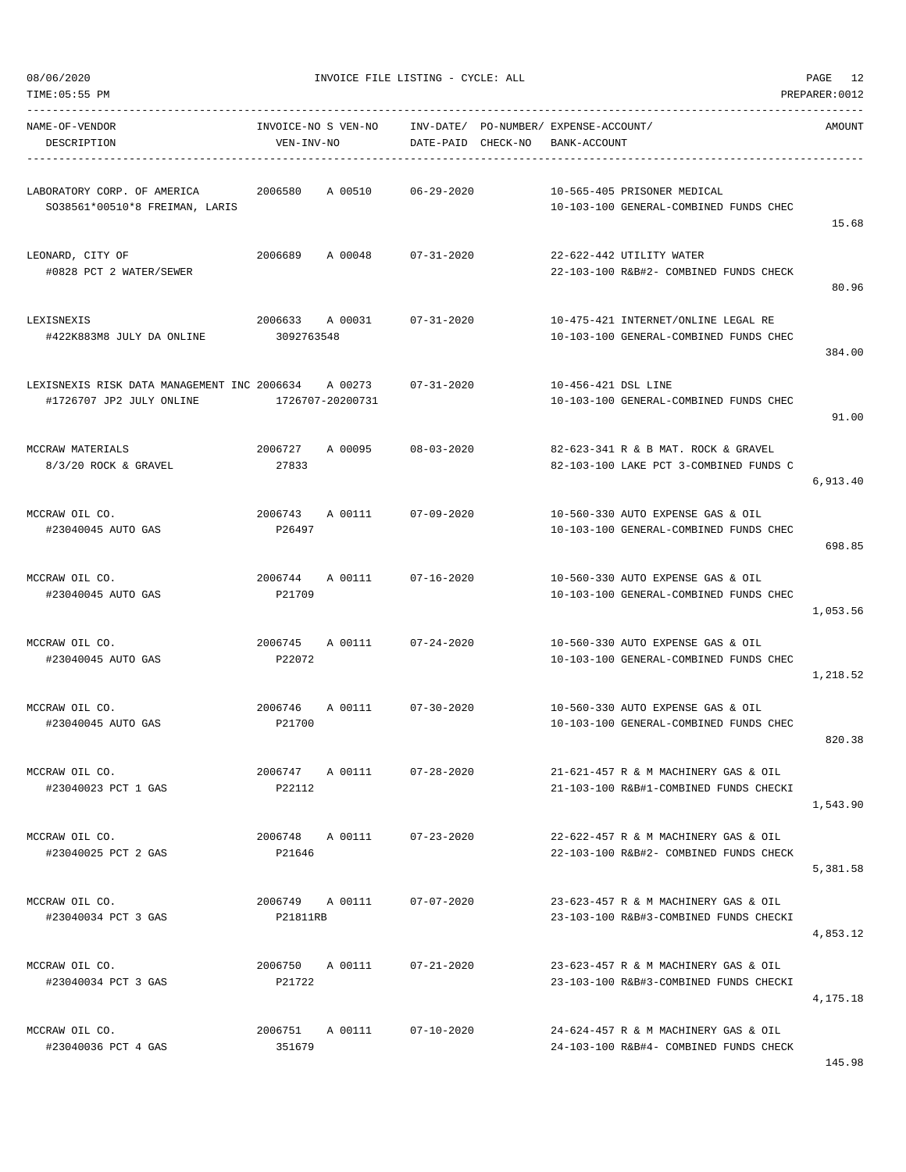|  | 08/06/2020 |
|--|------------|
|  |            |

| TIME: 05:55 PM                                                          |                                   |                             |                        |          |                                                                                | PREPARER: 0012 |
|-------------------------------------------------------------------------|-----------------------------------|-----------------------------|------------------------|----------|--------------------------------------------------------------------------------|----------------|
| NAME-OF-VENDOR<br>DESCRIPTION                                           | INVOICE-NO S VEN-NO<br>VEN-INV-NO |                             | INV-DATE/<br>DATE-PAID | CHECK-NO | PO-NUMBER/ EXPENSE-ACCOUNT/<br>BANK-ACCOUNT                                    | AMOUNT         |
| LABORATORY CORP. OF AMERICA<br>SO38561*00510*8 FREIMAN, LARIS           | 2006580                           | A 00510                     | $06 - 29 - 2020$       |          | 10-565-405 PRISONER MEDICAL<br>10-103-100 GENERAL-COMBINED FUNDS CHEC          | 15.68          |
| LEONARD, CITY OF<br>#0828 PCT 2 WATER/SEWER                             | 2006689                           | A 00048                     | $07 - 31 - 2020$       |          | 22-622-442 UTILITY WATER<br>22-103-100 R&B#2- COMBINED FUNDS CHECK             | 80.96          |
| LEXISNEXIS<br>#422K883M8 JULY DA ONLINE                                 | 2006633<br>3092763548             | A 00031                     | $07 - 31 - 2020$       |          | 10-475-421 INTERNET/ONLINE LEGAL RE<br>10-103-100 GENERAL-COMBINED FUNDS CHEC  | 384.00         |
| LEXISNEXIS RISK DATA MANAGEMENT INC 2006634<br>#1726707 JP2 JULY ONLINE |                                   | A 00273<br>1726707-20200731 | $07 - 31 - 2020$       |          | 10-456-421 DSL LINE<br>10-103-100 GENERAL-COMBINED FUNDS CHEC                  | 91.00          |
| MCCRAW MATERIALS<br>8/3/20 ROCK & GRAVEL                                | 2006727<br>27833                  | A 00095                     | $08 - 03 - 2020$       |          | 82-623-341 R & B MAT. ROCK & GRAVEL<br>82-103-100 LAKE PCT 3-COMBINED FUNDS C  | 6,913.40       |
| MCCRAW OIL CO.<br>#23040045 AUTO GAS                                    | 2006743<br>P26497                 | A 00111                     | $07 - 09 - 2020$       |          | 10-560-330 AUTO EXPENSE GAS & OIL<br>10-103-100 GENERAL-COMBINED FUNDS CHEC    | 698.85         |
| MCCRAW OIL CO.<br>#23040045 AUTO GAS                                    | 2006744<br>P21709                 | A 00111                     | $07 - 16 - 2020$       |          | 10-560-330 AUTO EXPENSE GAS & OIL<br>10-103-100 GENERAL-COMBINED FUNDS CHEC    | 1,053.56       |
| MCCRAW OIL CO.<br>#23040045 AUTO GAS                                    | 2006745<br>P22072                 | A 00111                     | $07 - 24 - 2020$       |          | 10-560-330 AUTO EXPENSE GAS & OIL<br>10-103-100 GENERAL-COMBINED FUNDS CHEC    | 1,218.52       |
| MCCRAW OIL CO.<br>#23040045 AUTO GAS                                    | 2006746<br>P21700                 | A 00111                     | $07 - 30 - 2020$       |          | 10-560-330 AUTO EXPENSE GAS & OIL<br>10-103-100 GENERAL-COMBINED FUNDS CHEC    | 820.38         |
| MCCRAW OIL CO.<br>#23040023 PCT 1 GAS                                   | 2006747 A 00111<br>P22112         |                             | $07 - 28 - 2020$       |          | 21-621-457 R & M MACHINERY GAS & OIL<br>21-103-100 R&B#1-COMBINED FUNDS CHECKI | 1,543.90       |
| MCCRAW OIL CO.<br>#23040025 PCT 2 GAS                                   | 2006748<br>P21646                 | A 00111                     | $07 - 23 - 2020$       |          | 22-622-457 R & M MACHINERY GAS & OIL<br>22-103-100 R&B#2- COMBINED FUNDS CHECK | 5,381.58       |
| MCCRAW OIL CO.<br>#23040034 PCT 3 GAS                                   | 2006749 A 00111<br>P21811RB       |                             | $07 - 07 - 2020$       |          | 23-623-457 R & M MACHINERY GAS & OIL<br>23-103-100 R&B#3-COMBINED FUNDS CHECKI | 4,853.12       |
| MCCRAW OIL CO.<br>#23040034 PCT 3 GAS                                   | 2006750<br>P21722                 | A 00111                     | $07 - 21 - 2020$       |          | 23-623-457 R & M MACHINERY GAS & OIL<br>23-103-100 R&B#3-COMBINED FUNDS CHECKI | 4,175.18       |
| MCCRAW OIL CO.<br>#23040036 PCT 4 GAS                                   | 2006751<br>351679                 | A 00111                     | $07 - 10 - 2020$       |          | 24-624-457 R & M MACHINERY GAS & OIL<br>24-103-100 R&B#4- COMBINED FUNDS CHECK |                |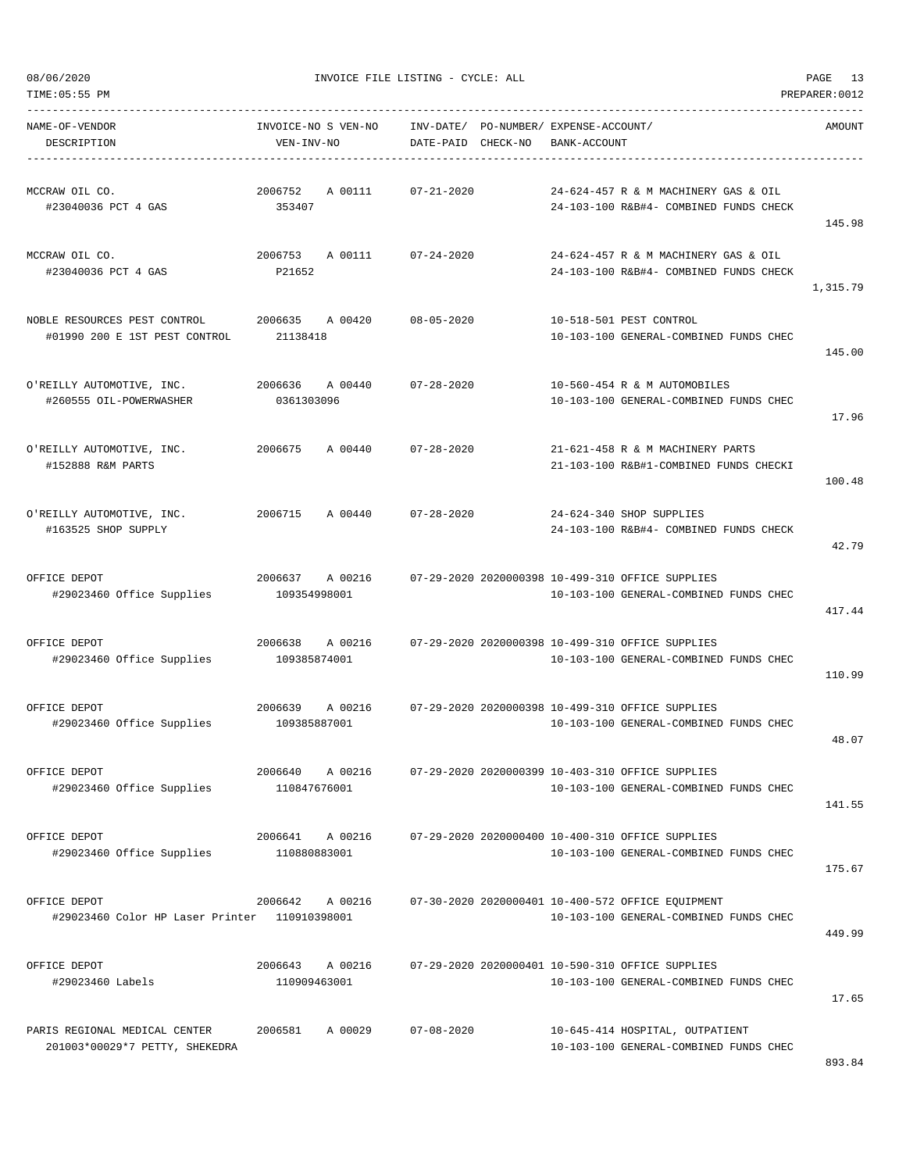145.98

1,315.79

145.00

17.96

100.48

42.79

417.44

110.99

48.07

141.55

175.67

449.99

17.65

08/06/2020 INVOICE FILE LISTING - CYCLE: ALL PAGE 13 TIME:05:55 PM PREPARER:0012 ----------------------------------------------------------------------------------------------------------------------------------- NAME-OF-VENDOR INVOICE-NO S VEN-NO INV-DATE/ PO-NUMBER/ EXPENSE-ACCOUNT/ AMOUNT DESCRIPTION VEN-INV-NO DATE-PAID CHECK-NO BANK-ACCOUNT ----------------------------------------------------------------------------------------------------------------------------------- MCCRAW OIL CO. 2006752 A 00111 07-21-2020 24-624-457 R & M MACHINERY GAS & OIL #23040036 PCT 4 GAS 353407 24-103-100 R&B#4- COMBINED FUNDS CHECK MCCRAW OIL CO. 2006753 A 00111 07-24-2020 24-624-457 R & M MACHINERY GAS & OIL #23040036 PCT 4 GAS P21652 24-103-100 R&B#4- COMBINED FUNDS CHECK NOBLE RESOURCES PEST CONTROL 2006635 A 00420 08-05-2020 10-518-501 PEST CONTROL #01990 200 E 1ST PEST CONTROL 21138418 10-103-100 GENERAL-COMBINED FUNDS CHEC O'REILLY AUTOMOTIVE, INC. 2006636 A 00440 07-28-2020 10-560-454 R & M AUTOMOBILES #260555 OIL-POWERWASHER 0361303096 10-103-100 GENERAL-COMBINED FUNDS CHEC O'REILLY AUTOMOTIVE, INC. 2006675 A 00440 07-28-2020 21-621-458 R & M MACHINERY PARTS #152888 R&M PARTS 21-103-100 R&B#1-COMBINED FUNDS CHECKI O'REILLY AUTOMOTIVE, INC. 2006715 A 00440 07-28-2020 24-624-340 SHOP SUPPLIES #163525 SHOP SUPPLY 24-103-100 R&B#4- COMBINED FUNDS CHECK OFFICE DEPOT 2006637 A 00216 07-29-2020 2020000398 10-499-310 OFFICE SUPPLIES #29023460 Office Supplies 109354998001 10-103-100 GENERAL-COMBINED FUNDS CHEC OFFICE DEPOT 2006638 A 00216 07-29-2020 2020000398 10-499-310 OFFICE SUPPLIES #29023460 Office Supplies 109385874001 10-103-100 GENERAL-COMBINED FUNDS CHEC OFFICE DEPOT 2006639 A 00216 07-29-2020 2020000398 10-499-310 OFFICE SUPPLIES #29023460 Office Supplies 109385887001 10-103-100 GENERAL-COMBINED FUNDS CHEC OFFICE DEPOT 2006640 A 00216 07-29-2020 2020000399 10-403-310 OFFICE SUPPLIES #29023460 Office Supplies 110847676001 10-103-100 GENERAL-COMBINED FUNDS CHEC OFFICE DEPOT 2006641 A 00216 07-29-2020 2020000400 10-400-310 OFFICE SUPPLIES #29023460 Office Supplies 110880883001 10-103-100 GENERAL-COMBINED FUNDS CHEC OFFICE DEPOT 2006642 A 00216 07-30-2020 2020000401 10-400-572 OFFICE EQUIPMENT #29023460 Color HP Laser Printer 110910398001 10-103-100 GENERAL-COMBINED FUNDS CHEC OFFICE DEPOT 2006643 A 00216 07-29-2020 2020000401 10-590-310 OFFICE SUPPLIES #29023460 Labels 110909463001 10-103-100 GENERAL-COMBINED FUNDS CHEC

PARIS REGIONAL MEDICAL CENTER 2006581 A 00029 07-08-2020 10-645-414 HOSPITAL, OUTPATIENT 201003\*00029\*7 PETTY, SHEKEDRA 10-103-100 GENERAL-COMBINED FUNDS CHEC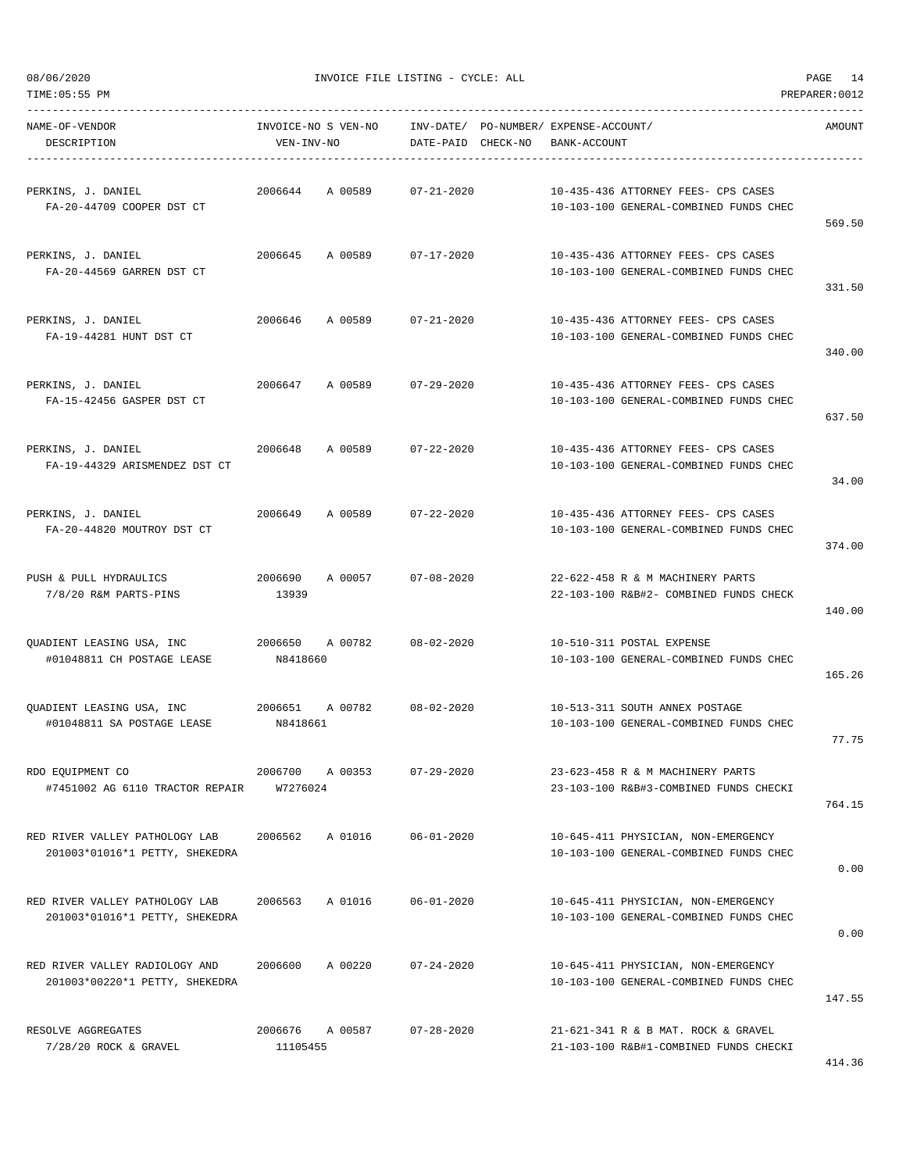TIME:05:55 PM PREPARER:0012

08/06/2020 INVOICE FILE LISTING - CYCLE: ALL PAGE 14

| NAME-OF-VENDOR<br>DESCRIPTION                                    | INVOICE-NO S VEN-NO<br>VEN-INV-NO | INV-DATE/ PO-NUMBER/ EXPENSE-ACCOUNT/<br>DATE-PAID CHECK-NO | BANK-ACCOUNT                                                                  | AMOUNT |
|------------------------------------------------------------------|-----------------------------------|-------------------------------------------------------------|-------------------------------------------------------------------------------|--------|
| PERKINS, J. DANIEL<br>FA-20-44709 COOPER DST CT                  | 2006644 A 00589                   | 07-21-2020                                                  | 10-435-436 ATTORNEY FEES- CPS CASES<br>10-103-100 GENERAL-COMBINED FUNDS CHEC | 569.50 |
| PERKINS, J. DANIEL<br>FA-20-44569 GARREN DST CT                  | 2006645 A 00589 07-17-2020        |                                                             | 10-435-436 ATTORNEY FEES- CPS CASES<br>10-103-100 GENERAL-COMBINED FUNDS CHEC | 331.50 |
| PERKINS, J. DANIEL<br>FA-19-44281 HUNT DST CT                    | 2006646<br>A 00589                | 07-21-2020                                                  | 10-435-436 ATTORNEY FEES- CPS CASES<br>10-103-100 GENERAL-COMBINED FUNDS CHEC | 340.00 |
| PERKINS, J. DANIEL<br>FA-15-42456 GASPER DST CT                  | 2006647 A 00589 07-29-2020        |                                                             | 10-435-436 ATTORNEY FEES- CPS CASES<br>10-103-100 GENERAL-COMBINED FUNDS CHEC | 637.50 |
| PERKINS, J. DANIEL<br>FA-19-44329 ARISMENDEZ DST CT              | 2006648 A 00589                   | 07-22-2020                                                  | 10-435-436 ATTORNEY FEES- CPS CASES<br>10-103-100 GENERAL-COMBINED FUNDS CHEC | 34.00  |
| PERKINS, J. DANIEL<br>FA-20-44820 MOUTROY DST CT                 | 2006649                           | A 00589 07-22-2020                                          | 10-435-436 ATTORNEY FEES- CPS CASES<br>10-103-100 GENERAL-COMBINED FUNDS CHEC | 374.00 |
| PUSH & PULL HYDRAULICS<br>7/8/20 R&M PARTS-PINS                  | 2006690<br>A 00057<br>13939       | $07 - 08 - 2020$                                            | 22-622-458 R & M MACHINERY PARTS<br>22-103-100 R&B#2- COMBINED FUNDS CHECK    | 140.00 |
| QUADIENT LEASING USA, INC<br>#01048811 CH POSTAGE LEASE          | 2006650 A 00782<br>N8418660       | $08 - 02 - 2020$                                            | 10-510-311 POSTAL EXPENSE<br>10-103-100 GENERAL-COMBINED FUNDS CHEC           | 165.26 |
| #01048811 SA POSTAGE LEASE                                       | N8418661                          |                                                             | 10-513-311 SOUTH ANNEX POSTAGE<br>10-103-100 GENERAL-COMBINED FUNDS CHEC      | 77.75  |
| RDO EQUIPMENT CO<br>#7451002 AG 6110 TRACTOR REPAIR              | 2006700<br>A 00353<br>W7276024    | $07 - 29 - 2020$                                            | 23-623-458 R & M MACHINERY PARTS<br>23-103-100 R&B#3-COMBINED FUNDS CHECKI    | 764.15 |
| RED RIVER VALLEY PATHOLOGY LAB<br>201003*01016*1 PETTY, SHEKEDRA | 2006562<br>A 01016                | $06 - 01 - 2020$                                            | 10-645-411 PHYSICIAN, NON-EMERGENCY<br>10-103-100 GENERAL-COMBINED FUNDS CHEC | 0.00   |
| RED RIVER VALLEY PATHOLOGY LAB<br>201003*01016*1 PETTY, SHEKEDRA | 2006563<br>A 01016                | $06 - 01 - 2020$                                            | 10-645-411 PHYSICIAN, NON-EMERGENCY<br>10-103-100 GENERAL-COMBINED FUNDS CHEC | 0.00   |
| RED RIVER VALLEY RADIOLOGY AND<br>201003*00220*1 PETTY, SHEKEDRA | 2006600<br>A 00220                | $07 - 24 - 2020$                                            | 10-645-411 PHYSICIAN, NON-EMERGENCY<br>10-103-100 GENERAL-COMBINED FUNDS CHEC | 147.55 |
| RESOLVE AGGREGATES<br>7/28/20 ROCK & GRAVEL                      | 2006676<br>A 00587<br>11105455    | $07 - 28 - 2020$                                            | 21-621-341 R & B MAT. ROCK & GRAVEL<br>21-103-100 R&B#1-COMBINED FUNDS CHECKI |        |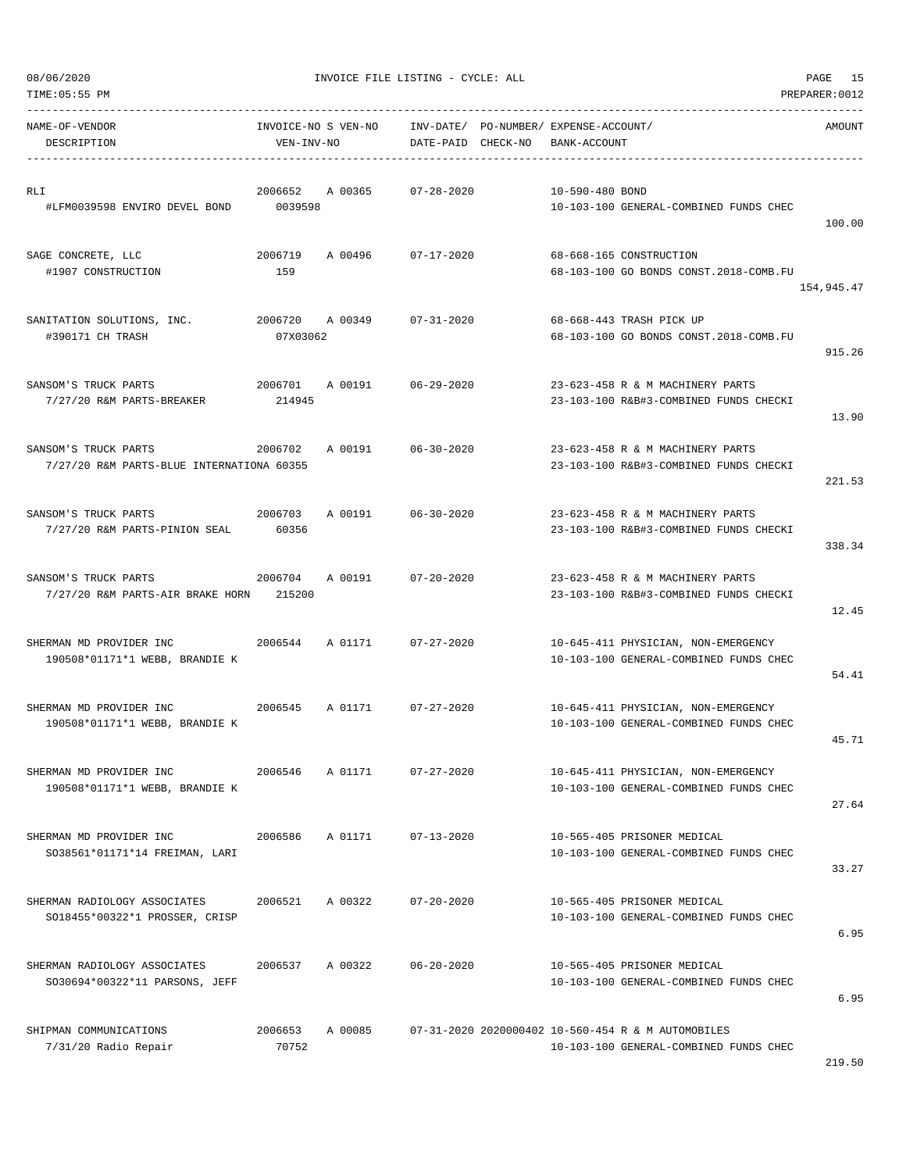| NAME-OF-VENDOR<br>DESCRIPTION                                                                   | VEN-INV-NO       | INVOICE-NO S VEN-NO INV-DATE/ PO-NUMBER/ EXPENSE-ACCOUNT/ | DATE-PAID CHECK-NO | BANK-ACCOUNT    |                                                                                              | AMOUNT     |
|-------------------------------------------------------------------------------------------------|------------------|-----------------------------------------------------------|--------------------|-----------------|----------------------------------------------------------------------------------------------|------------|
| RLI<br>#LFM0039598 ENVIRO DEVEL BOND 0039598                                                    |                  | 2006652 A 00365 07-28-2020                                |                    | 10-590-480 BOND | 10-103-100 GENERAL-COMBINED FUNDS CHEC                                                       | 100.00     |
| SAGE CONCRETE, LLC<br>#1907 CONSTRUCTION                                                        | 159              | 2006719 A 00496 07-17-2020                                |                    |                 | 68-668-165 CONSTRUCTION<br>68-103-100 GO BONDS CONST.2018-COMB.FU                            | 154,945.47 |
| SANITATION SOLUTIONS, INC.<br>#390171 CH TRASH                                                  | 07X03062         | 2006720 A 00349 07-31-2020                                |                    |                 | 68-668-443 TRASH PICK UP<br>68-103-100 GO BONDS CONST.2018-COMB.FU                           | 915.26     |
| SANSOM'S TRUCK PARTS<br>7/27/20 R&M PARTS-BREAKER 214945                                        |                  | 2006701 A 00191 06-29-2020                                |                    |                 | 23-623-458 R & M MACHINERY PARTS<br>23-103-100 R&B#3-COMBINED FUNDS CHECKI                   | 13.90      |
| 2006702 A 00191 06-30-2020<br>SANSOM'S TRUCK PARTS<br>7/27/20 R&M PARTS-BLUE INTERNATIONA 60355 |                  |                                                           |                    |                 | 23-623-458 R & M MACHINERY PARTS<br>23-103-100 R&B#3-COMBINED FUNDS CHECKI                   | 221.53     |
| SANSOM'S TRUCK PARTS<br>7/27/20 R&M PARTS-PINION SEAL                                           | 60356            | 2006703 A 00191 06-30-2020                                |                    |                 | 23-623-458 R & M MACHINERY PARTS<br>23-103-100 R&B#3-COMBINED FUNDS CHECKI                   | 338.34     |
| SANSOM'S TRUCK PARTS<br>7/27/20 R&M PARTS-AIR BRAKE HORN 215200                                 |                  | 2006704 A 00191 07-20-2020                                |                    |                 | 23-623-458 R & M MACHINERY PARTS<br>23-103-100 R&B#3-COMBINED FUNDS CHECKI                   | 12.45      |
| SHERMAN MD PROVIDER INC<br>190508*01171*1 WEBB, BRANDIE K                                       |                  | 2006544 A 01171 07-27-2020                                |                    |                 | 10-645-411 PHYSICIAN, NON-EMERGENCY<br>10-103-100 GENERAL-COMBINED FUNDS CHEC                | 54.41      |
| SHERMAN MD PROVIDER INC<br>190508*01171*1 WEBB, BRANDIE K                                       |                  | 2006545 A 01171 07-27-2020                                |                    |                 | 10-645-411 PHYSICIAN, NON-EMERGENCY<br>10-103-100 GENERAL-COMBINED FUNDS CHEC                | 45.71      |
| SHERMAN MD PROVIDER INC<br>190508*01171*1 WEBB, BRANDIE K                                       | 2006546 A 01171  |                                                           | 07-27-2020         |                 | 10-645-411 PHYSICIAN, NON-EMERGENCY<br>10-103-100 GENERAL-COMBINED FUNDS CHEC                | 27.64      |
| SHERMAN MD PROVIDER INC<br>SO38561*01171*14 FREIMAN, LARI                                       | 2006586          | A 01171                                                   | $07 - 13 - 2020$   |                 | 10-565-405 PRISONER MEDICAL<br>10-103-100 GENERAL-COMBINED FUNDS CHEC                        | 33.27      |
| SHERMAN RADIOLOGY ASSOCIATES<br>SO18455*00322*1 PROSSER, CRISP                                  | 2006521          | A 00322                                                   | $07 - 20 - 2020$   |                 | 10-565-405 PRISONER MEDICAL<br>10-103-100 GENERAL-COMBINED FUNDS CHEC                        | 6.95       |
| SHERMAN RADIOLOGY ASSOCIATES<br>SO30694*00322*11 PARSONS, JEFF                                  | 2006537          | A 00322                                                   | $06 - 20 - 2020$   |                 | 10-565-405 PRISONER MEDICAL<br>10-103-100 GENERAL-COMBINED FUNDS CHEC                        | 6.95       |
| SHIPMAN COMMUNICATIONS<br>7/31/20 Radio Repair                                                  | 2006653<br>70752 | A 00085                                                   |                    |                 | 07-31-2020 2020000402 10-560-454 R & M AUTOMOBILES<br>10-103-100 GENERAL-COMBINED FUNDS CHEC |            |

TIME:05:55 PM PREPARER:0012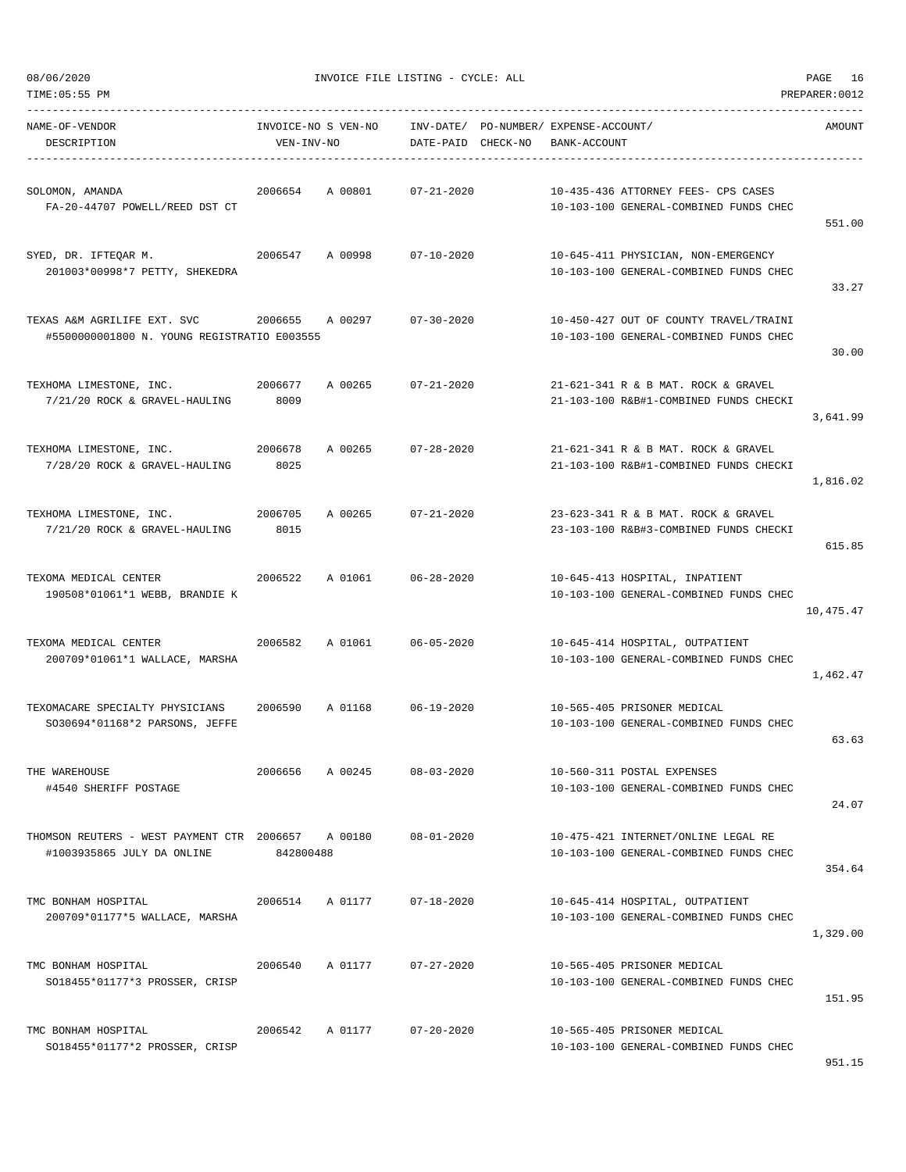| TIME:05:55 PM                                                                    |                 |                     |                    |                                                       |                                                                                  | PREPARER: 0012 |
|----------------------------------------------------------------------------------|-----------------|---------------------|--------------------|-------------------------------------------------------|----------------------------------------------------------------------------------|----------------|
| NAME-OF-VENDOR<br>DESCRIPTION                                                    | VEN-INV-NO      | INVOICE-NO S VEN-NO | DATE-PAID CHECK-NO | INV-DATE/ PO-NUMBER/ EXPENSE-ACCOUNT/<br>BANK-ACCOUNT |                                                                                  | AMOUNT         |
| SOLOMON, AMANDA<br>FA-20-44707 POWELL/REED DST CT                                | 2006654         | A 00801             | $07 - 21 - 2020$   |                                                       | 10-435-436 ATTORNEY FEES- CPS CASES<br>10-103-100 GENERAL-COMBINED FUNDS CHEC    | 551.00         |
| SYED, DR. IFTEOAR M.<br>201003*00998*7 PETTY, SHEKEDRA                           | 2006547         | A 00998             | $07 - 10 - 2020$   |                                                       | 10-645-411 PHYSICIAN, NON-EMERGENCY<br>10-103-100 GENERAL-COMBINED FUNDS CHEC    | 33.27          |
| TEXAS A&M AGRILIFE EXT. SVC<br>#5500000001800 N. YOUNG REGISTRATIO E003555       | 2006655         | A 00297             | $07 - 30 - 2020$   |                                                       | 10-450-427 OUT OF COUNTY TRAVEL/TRAINI<br>10-103-100 GENERAL-COMBINED FUNDS CHEC | 30.00          |
| TEXHOMA LIMESTONE, INC.<br>7/21/20 ROCK & GRAVEL-HAULING                         | 2006677<br>8009 | A 00265             | $07 - 21 - 2020$   |                                                       | 21-621-341 R & B MAT, ROCK & GRAVEL<br>21-103-100 R&B#1-COMBINED FUNDS CHECKI    | 3,641.99       |
| TEXHOMA LIMESTONE, INC.<br>2006678<br>7/28/20 ROCK & GRAVEL-HAULING              | 8025            | A 00265             | $07 - 28 - 2020$   |                                                       | 21-621-341 R & B MAT. ROCK & GRAVEL<br>21-103-100 R&B#1-COMBINED FUNDS CHECKI    | 1,816.02       |
| TEXHOMA LIMESTONE, INC.<br>7/21/20 ROCK & GRAVEL-HAULING                         | 2006705<br>8015 | A 00265             | $07 - 21 - 2020$   |                                                       | 23-623-341 R & B MAT. ROCK & GRAVEL<br>23-103-100 R&B#3-COMBINED FUNDS CHECKI    | 615.85         |
| TEXOMA MEDICAL CENTER<br>190508*01061*1 WEBB, BRANDIE K                          | 2006522         | A 01061             | 06-28-2020         |                                                       | 10-645-413 HOSPITAL, INPATIENT<br>10-103-100 GENERAL-COMBINED FUNDS CHEC         | 10,475.47      |
| TEXOMA MEDICAL CENTER<br>200709*01061*1 WALLACE, MARSHA                          | 2006582         | A 01061             | $06 - 05 - 2020$   |                                                       | 10-645-414 HOSPITAL, OUTPATIENT<br>10-103-100 GENERAL-COMBINED FUNDS CHEC        | 1,462.47       |
| TEXOMACARE SPECIALTY PHYSICIANS<br>SO30694*01168*2 PARSONS, JEFFE                | 2006590         | A 01168             | $06 - 19 - 2020$   |                                                       | 10-565-405 PRISONER MEDICAL<br>10-103-100 GENERAL-COMBINED FUNDS CHEC            | 63.63          |
| THE WAREHOUSE<br>#4540 SHERIFF POSTAGE                                           | 2006656         | A 00245             | $08 - 03 - 2020$   |                                                       | 10-560-311 POSTAL EXPENSES<br>10-103-100 GENERAL-COMBINED FUNDS CHEC             | 24.07          |
| THOMSON REUTERS - WEST PAYMENT CTR 2006657 A 00180<br>#1003935865 JULY DA ONLINE | 842800488       |                     | $08 - 01 - 2020$   |                                                       | 10-475-421 INTERNET/ONLINE LEGAL RE<br>10-103-100 GENERAL-COMBINED FUNDS CHEC    | 354.64         |
| TMC BONHAM HOSPITAL<br>200709*01177*5 WALLACE, MARSHA                            | 2006514         | A 01177             | $07 - 18 - 2020$   |                                                       | 10-645-414 HOSPITAL, OUTPATIENT<br>10-103-100 GENERAL-COMBINED FUNDS CHEC        | 1,329.00       |
| TMC BONHAM HOSPITAL<br>SO18455*01177*3 PROSSER, CRISP                            | 2006540         | A 01177             | $07 - 27 - 2020$   |                                                       | 10-565-405 PRISONER MEDICAL<br>10-103-100 GENERAL-COMBINED FUNDS CHEC            | 151.95         |
| TMC BONHAM HOSPITAL<br>SO18455*01177*2 PROSSER, CRISP                            | 2006542         | A 01177             | $07 - 20 - 2020$   |                                                       | 10-565-405 PRISONER MEDICAL<br>10-103-100 GENERAL-COMBINED FUNDS CHEC            |                |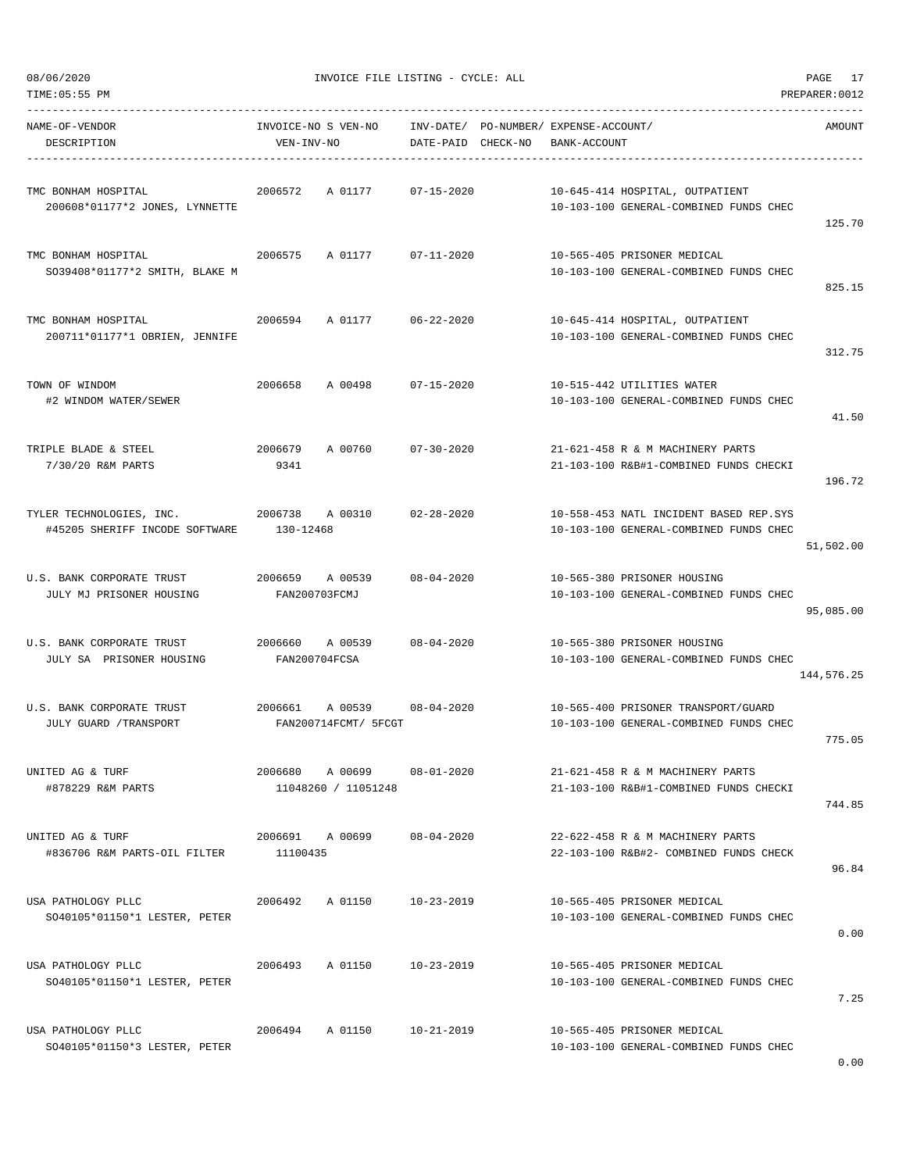| TIME: 05:55 PM                                             |                                            |                    |                                                                                  | PREPARER: 0012 |
|------------------------------------------------------------|--------------------------------------------|--------------------|----------------------------------------------------------------------------------|----------------|
| NAME-OF-VENDOR<br>DESCRIPTION                              | INVOICE-NO S VEN-NO<br>VEN-INV-NO          | DATE-PAID CHECK-NO | INV-DATE/ PO-NUMBER/ EXPENSE-ACCOUNT/<br>BANK-ACCOUNT                            | AMOUNT         |
| TMC BONHAM HOSPITAL<br>200608*01177*2 JONES, LYNNETTE      | 2006572<br>A 01177                         | $07 - 15 - 2020$   | 10-645-414 HOSPITAL, OUTPATIENT<br>10-103-100 GENERAL-COMBINED FUNDS CHEC        | 125.70         |
| TMC BONHAM HOSPITAL<br>SO39408*01177*2 SMITH, BLAKE M      | 2006575<br>A 01177                         | $07 - 11 - 2020$   | 10-565-405 PRISONER MEDICAL<br>10-103-100 GENERAL-COMBINED FUNDS CHEC            | 825.15         |
| TMC BONHAM HOSPITAL<br>200711*01177*1 OBRIEN, JENNIFE      | 2006594<br>A 01177                         | 06-22-2020         | 10-645-414 HOSPITAL, OUTPATIENT<br>10-103-100 GENERAL-COMBINED FUNDS CHEC        | 312.75         |
| TOWN OF WINDOM<br>#2 WINDOM WATER/SEWER                    | 2006658<br>A 00498                         | $07 - 15 - 2020$   | 10-515-442 UTILITIES WATER<br>10-103-100 GENERAL-COMBINED FUNDS CHEC             | 41.50          |
| TRIPLE BLADE & STEEL<br>7/30/20 R&M PARTS                  | 2006679<br>A 00760<br>9341                 | $07 - 30 - 2020$   | 21-621-458 R & M MACHINERY PARTS<br>21-103-100 R&B#1-COMBINED FUNDS CHECKI       | 196.72         |
| TYLER TECHNOLOGIES, INC.<br>#45205 SHERIFF INCODE SOFTWARE | 2006738<br>A 00310<br>130-12468            | $02 - 28 - 2020$   | 10-558-453 NATL INCIDENT BASED REP.SYS<br>10-103-100 GENERAL-COMBINED FUNDS CHEC | 51,502.00      |
| U.S. BANK CORPORATE TRUST<br>JULY MJ PRISONER HOUSING      | 2006659 A 00539<br>FAN200703FCMJ           | $08 - 04 - 2020$   | 10-565-380 PRISONER HOUSING<br>10-103-100 GENERAL-COMBINED FUNDS CHEC            | 95,085.00      |
| U.S. BANK CORPORATE TRUST<br>JULY SA PRISONER HOUSING      | 2006660<br>A 00539<br>FAN200704FCSA        | $08 - 04 - 2020$   | 10-565-380 PRISONER HOUSING<br>10-103-100 GENERAL-COMBINED FUNDS CHEC            | 144,576.25     |
| U.S. BANK CORPORATE TRUST<br>JULY GUARD / TRANSPORT        | 2006661<br>A 00539<br>FAN200714FCMT/ 5FCGT | $08 - 04 - 2020$   | 10-565-400 PRISONER TRANSPORT/GUARD<br>10-103-100 GENERAL-COMBINED FUNDS CHEC    | 775.05         |
| UNITED AG & TURF<br>#878229 R&M PARTS                      | 2006680 A 00699<br>11048260 / 11051248     | $08 - 01 - 2020$   | 21-621-458 R & M MACHINERY PARTS<br>21-103-100 R&B#1-COMBINED FUNDS CHECKI       | 744.85         |
| UNITED AG & TURF<br>#836706 R&M PARTS-OIL FILTER           | 2006691 A 00699<br>11100435                | $08 - 04 - 2020$   | 22-622-458 R & M MACHINERY PARTS<br>22-103-100 R&B#2- COMBINED FUNDS CHECK       | 96.84          |
| USA PATHOLOGY PLLC<br>SO40105*01150*1 LESTER, PETER        | 2006492<br>A 01150                         | 10-23-2019         | 10-565-405 PRISONER MEDICAL<br>10-103-100 GENERAL-COMBINED FUNDS CHEC            | 0.00           |
| USA PATHOLOGY PLLC<br>SO40105*01150*1 LESTER, PETER        | 2006493<br>A 01150                         | 10-23-2019         | 10-565-405 PRISONER MEDICAL<br>10-103-100 GENERAL-COMBINED FUNDS CHEC            | 7.25           |
| USA PATHOLOGY PLLC<br>SO40105*01150*3 LESTER, PETER        | 2006494 A 01150                            | 10-21-2019         | 10-565-405 PRISONER MEDICAL<br>10-103-100 GENERAL-COMBINED FUNDS CHEC            |                |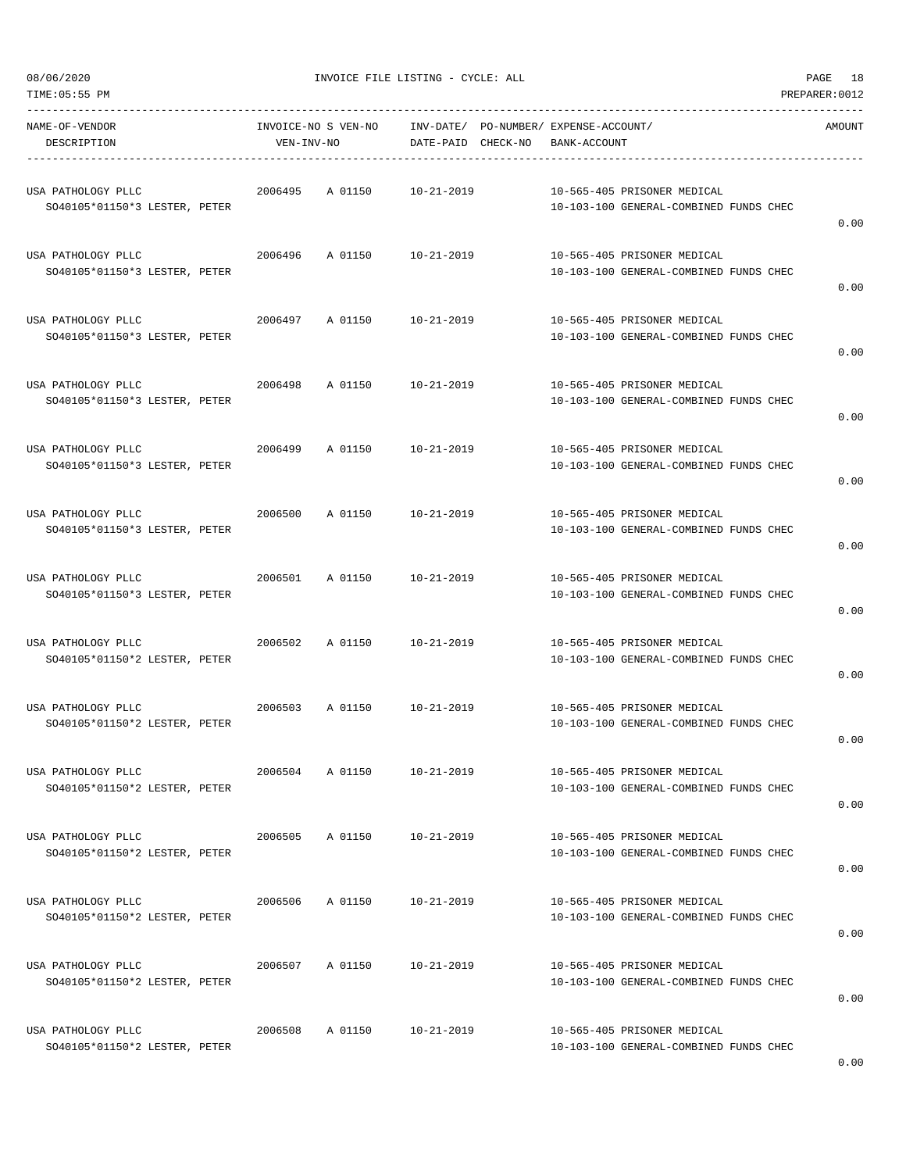| NAME-OF-VENDOR<br>DESCRIPTION                       | INVOICE-NO S VEN-NO<br>VEN-INV-NO |         |                  | INV-DATE/ PO-NUMBER/ EXPENSE-ACCOUNT/<br>DATE-PAID CHECK-NO BANK-ACCOUNT |                                                                       | AMOUNT |
|-----------------------------------------------------|-----------------------------------|---------|------------------|--------------------------------------------------------------------------|-----------------------------------------------------------------------|--------|
| USA PATHOLOGY PLLC<br>SO40105*01150*3 LESTER, PETER | 2006495                           | A 01150 | 10-21-2019       |                                                                          | 10-565-405 PRISONER MEDICAL<br>10-103-100 GENERAL-COMBINED FUNDS CHEC | 0.00   |
| USA PATHOLOGY PLLC<br>SO40105*01150*3 LESTER, PETER | 2006496                           | A 01150 | $10 - 21 - 2019$ |                                                                          | 10-565-405 PRISONER MEDICAL<br>10-103-100 GENERAL-COMBINED FUNDS CHEC | 0.00   |
| USA PATHOLOGY PLLC<br>SO40105*01150*3 LESTER, PETER | 2006497 A 01150                   |         | 10-21-2019       |                                                                          | 10-565-405 PRISONER MEDICAL<br>10-103-100 GENERAL-COMBINED FUNDS CHEC | 0.00   |
| USA PATHOLOGY PLLC<br>SO40105*01150*3 LESTER, PETER | 2006498                           | A 01150 | 10-21-2019       |                                                                          | 10-565-405 PRISONER MEDICAL<br>10-103-100 GENERAL-COMBINED FUNDS CHEC | 0.00   |
| USA PATHOLOGY PLLC<br>SO40105*01150*3 LESTER, PETER | 2006499                           | A 01150 | $10 - 21 - 2019$ |                                                                          | 10-565-405 PRISONER MEDICAL<br>10-103-100 GENERAL-COMBINED FUNDS CHEC | 0.00   |
| USA PATHOLOGY PLLC<br>SO40105*01150*3 LESTER, PETER | 2006500                           | A 01150 | 10-21-2019       |                                                                          | 10-565-405 PRISONER MEDICAL<br>10-103-100 GENERAL-COMBINED FUNDS CHEC | 0.00   |
| USA PATHOLOGY PLLC<br>SO40105*01150*3 LESTER, PETER | 2006501                           | A 01150 | 10-21-2019       |                                                                          | 10-565-405 PRISONER MEDICAL<br>10-103-100 GENERAL-COMBINED FUNDS CHEC | 0.00   |
| USA PATHOLOGY PLLC<br>SO40105*01150*2 LESTER, PETER | 2006502                           | A 01150 | 10-21-2019       |                                                                          | 10-565-405 PRISONER MEDICAL<br>10-103-100 GENERAL-COMBINED FUNDS CHEC | 0.00   |
| USA PATHOLOGY PLLC<br>SO40105*01150*2 LESTER, PETER | 2006503                           | A 01150 | 10-21-2019       |                                                                          | 10-565-405 PRISONER MEDICAL<br>10-103-100 GENERAL-COMBINED FUNDS CHEC | 0.00   |
| USA PATHOLOGY PLLC<br>SO40105*01150*2 LESTER, PETER | 2006504                           | A 01150 | $10 - 21 - 2019$ |                                                                          | 10-565-405 PRISONER MEDICAL<br>10-103-100 GENERAL-COMBINED FUNDS CHEC | 0.00   |
| USA PATHOLOGY PLLC<br>SO40105*01150*2 LESTER, PETER | 2006505                           | A 01150 | $10 - 21 - 2019$ |                                                                          | 10-565-405 PRISONER MEDICAL<br>10-103-100 GENERAL-COMBINED FUNDS CHEC | 0.00   |
| USA PATHOLOGY PLLC<br>SO40105*01150*2 LESTER, PETER | 2006506                           | A 01150 | 10-21-2019       |                                                                          | 10-565-405 PRISONER MEDICAL<br>10-103-100 GENERAL-COMBINED FUNDS CHEC | 0.00   |
| USA PATHOLOGY PLLC<br>SO40105*01150*2 LESTER, PETER | 2006507                           | A 01150 | $10 - 21 - 2019$ |                                                                          | 10-565-405 PRISONER MEDICAL<br>10-103-100 GENERAL-COMBINED FUNDS CHEC | 0.00   |
| USA PATHOLOGY PLLC<br>SO40105*01150*2 LESTER, PETER | 2006508                           | A 01150 | 10-21-2019       |                                                                          | 10-565-405 PRISONER MEDICAL<br>10-103-100 GENERAL-COMBINED FUNDS CHEC |        |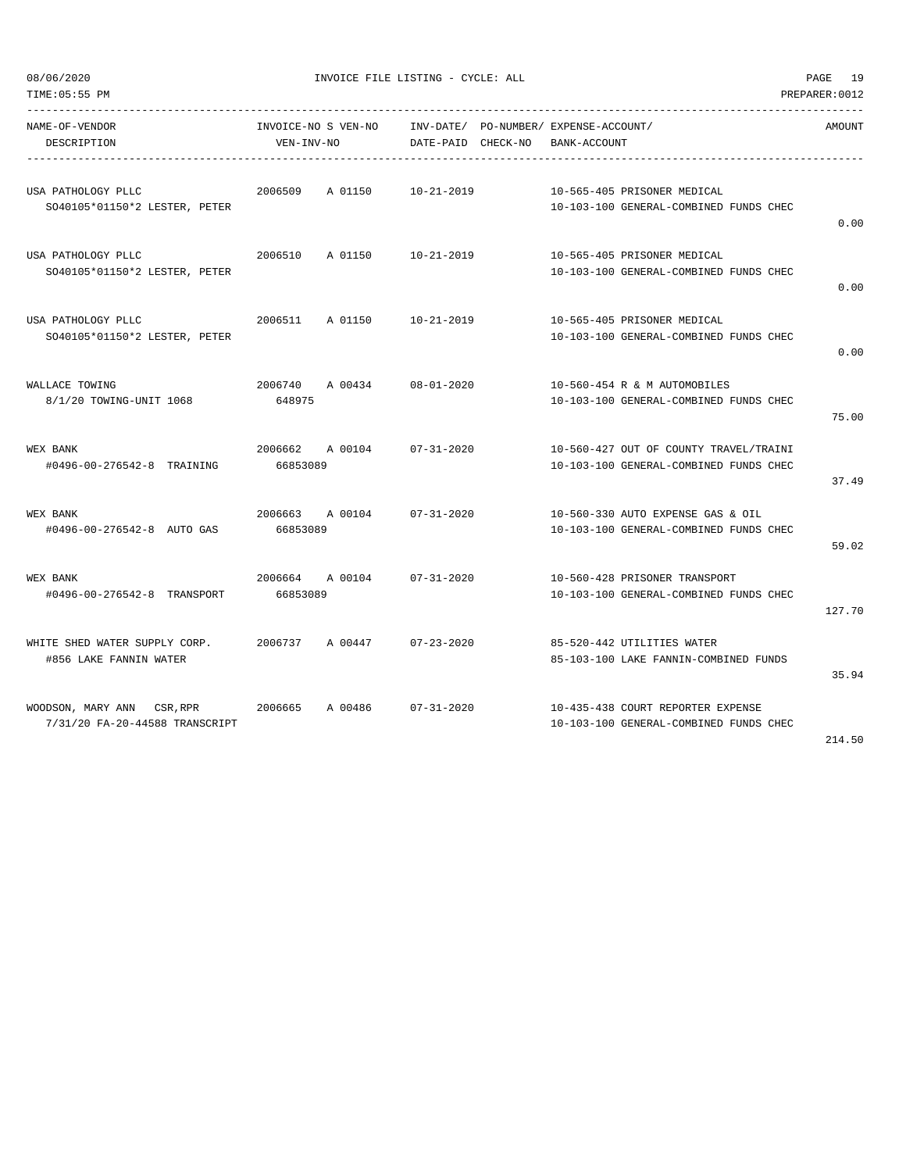| TIME: 05:55 PM                                      |                                   |                 |                                                             |              |                                                                       | PREPARER: 0012 |
|-----------------------------------------------------|-----------------------------------|-----------------|-------------------------------------------------------------|--------------|-----------------------------------------------------------------------|----------------|
| NAME-OF-VENDOR<br>DESCRIPTION                       | INVOICE-NO S VEN-NO<br>VEN-INV-NO |                 | INV-DATE/ PO-NUMBER/ EXPENSE-ACCOUNT/<br>DATE-PAID CHECK-NO | BANK-ACCOUNT |                                                                       | AMOUNT         |
| USA PATHOLOGY PLLC                                  | 2006509                           | A 01150         | 10-21-2019                                                  |              | 10-565-405 PRISONER MEDICAL                                           |                |
| SO40105*01150*2 LESTER, PETER                       |                                   |                 |                                                             |              | 10-103-100 GENERAL-COMBINED FUNDS CHEC                                | 0.00           |
| USA PATHOLOGY PLLC                                  | 2006510                           |                 | A 01150 10-21-2019                                          |              | 10-565-405 PRISONER MEDICAL                                           |                |
| SO40105*01150*2 LESTER, PETER                       |                                   |                 |                                                             |              | 10-103-100 GENERAL-COMBINED FUNDS CHEC                                | 0.00           |
| USA PATHOLOGY PLLC<br>SO40105*01150*2 LESTER, PETER | 2006511 A 01150                   |                 | 10-21-2019                                                  |              | 10-565-405 PRISONER MEDICAL<br>10-103-100 GENERAL-COMBINED FUNDS CHEC |                |
|                                                     |                                   |                 |                                                             |              |                                                                       | 0.00           |
| WALLACE TOWING                                      | 2006740                           | A 00434         | $08 - 01 - 2020$                                            |              | 10-560-454 R & M AUTOMOBILES                                          |                |
| 8/1/20 TOWING-UNIT 1068                             | 648975                            |                 |                                                             |              | 10-103-100 GENERAL-COMBINED FUNDS CHEC                                | 75.00          |
| WEX BANK                                            |                                   | 2006662 A 00104 | 07-31-2020                                                  |              | 10-560-427 OUT OF COUNTY TRAVEL/TRAINI                                |                |
| #0496-00-276542-8 TRAINING                          | 66853089                          |                 |                                                             |              | 10-103-100 GENERAL-COMBINED FUNDS CHEC                                | 37.49          |
| WEX BANK                                            | 2006663 A 00104                   |                 | $07 - 31 - 2020$                                            |              | 10-560-330 AUTO EXPENSE GAS & OIL                                     |                |
| #0496-00-276542-8 AUTO GAS                          | 66853089                          |                 |                                                             |              | 10-103-100 GENERAL-COMBINED FUNDS CHEC                                | 59.02          |
| WEX BANK                                            | 2006664 A 00104                   |                 | $07 - 31 - 2020$                                            |              | 10-560-428 PRISONER TRANSPORT                                         |                |
| #0496-00-276542-8 TRANSPORT                         | 66853089                          |                 |                                                             |              | 10-103-100 GENERAL-COMBINED FUNDS CHEC                                | 127.70         |
| WHITE SHED WATER SUPPLY CORP.                       | 2006737                           |                 | A 00447 07-23-2020                                          |              | 85-520-442 UTILITIES WATER                                            |                |
| #856 LAKE FANNIN WATER                              |                                   |                 |                                                             |              | 85-103-100 LAKE FANNIN-COMBINED FUNDS                                 | 35.94          |
| WOODSON, MARY ANN CSR, RPR 2006665                  |                                   | A 00486         | $07 - 31 - 2020$                                            |              | 10-435-438 COURT REPORTER EXPENSE                                     |                |
| 7/31/20 FA-20-44588 TRANSCRIPT                      |                                   |                 |                                                             |              | 10-103-100 GENERAL-COMBINED FUNDS CHEC                                |                |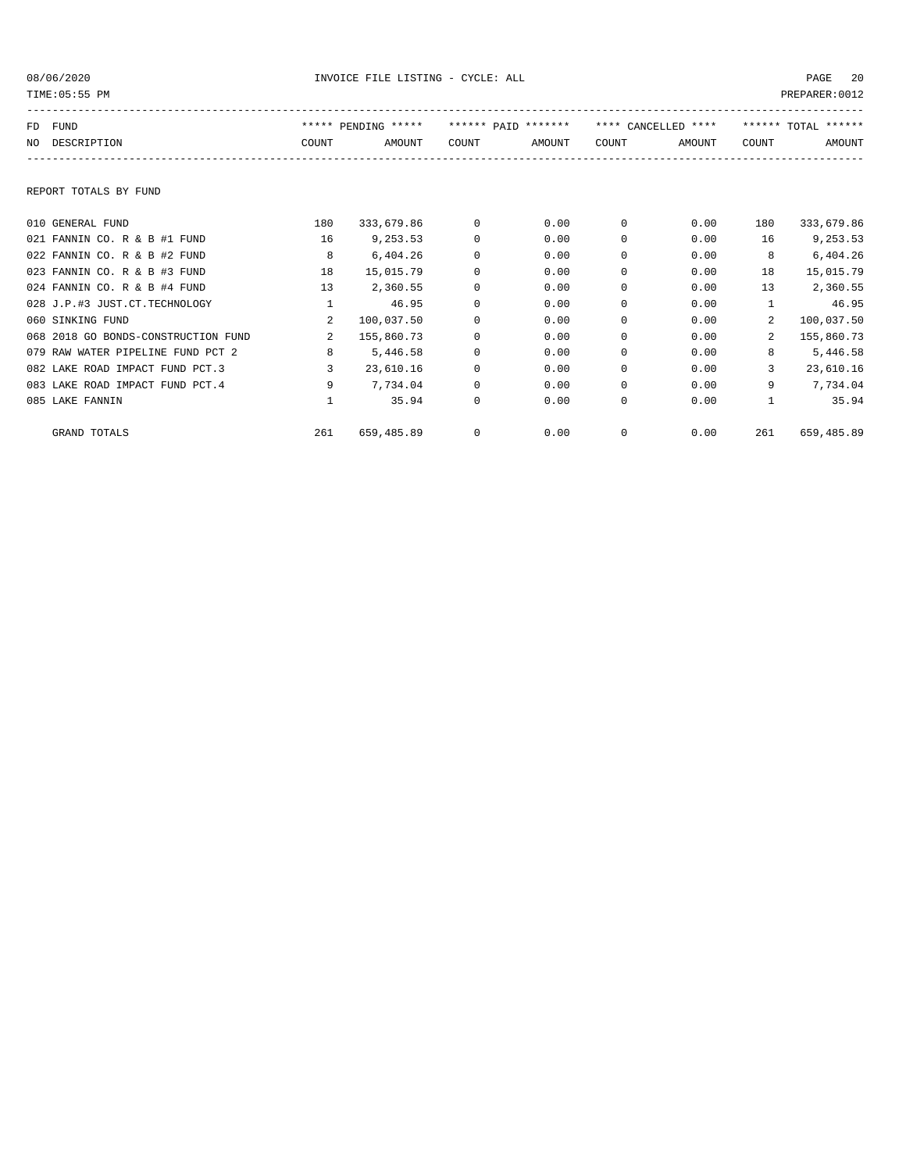| TIME: 05:55 PM |                                     |                |                     |          | PREPARER: 0012      |              |                     |              |                     |
|----------------|-------------------------------------|----------------|---------------------|----------|---------------------|--------------|---------------------|--------------|---------------------|
|                | FD FUND                             |                | ***** PENDING ***** |          | ****** PATD ******* |              | **** CANCELLED **** |              | ****** TOTAL ****** |
|                | NO DESCRIPTION                      | COUNT          | AMOUNT              | COUNT    | AMOUNT              | COUNT        | AMOUNT              | COUNT        | AMOUNT              |
|                | REPORT TOTALS BY FUND               |                |                     |          |                     |              |                     |              |                     |
|                | 010 GENERAL FUND                    | 180            | 333,679.86          | $\Omega$ | 0.00                | $\mathbf{0}$ | 0.00                | 180          | 333,679.86          |
|                | 021 FANNIN CO. R & B #1 FUND        | 16             | 9,253.53            | 0        | 0.00                | 0            | 0.00                | 16           | 9,253.53            |
|                | 022 FANNIN CO. R & B #2 FUND        | 8              | 6,404.26            | 0        | 0.00                | 0            | 0.00                | 8            | 6,404.26            |
|                | 023 FANNIN CO. R & B #3 FUND        | 18             | 15,015.79           | $\Omega$ | 0.00                | 0            | 0.00                | 18           | 15,015.79           |
|                | 024 FANNIN CO. R & B #4 FUND        | 13             | 2,360.55            | 0        | 0.00                | $\Omega$     | 0.00                | 13           | 2,360.55            |
|                | 028 J.P.#3 JUST.CT.TECHNOLOGY       | $\mathbf{1}$   | 46.95               | 0        | 0.00                | 0            | 0.00                | $\mathbf{1}$ | 46.95               |
|                | 060 SINKING FUND                    | $\overline{a}$ | 100,037.50          | $\Omega$ | 0.00                | $\Omega$     | 0.00                | 2            | 100,037.50          |
|                | 068 2018 GO BONDS-CONSTRUCTION FUND | $\overline{2}$ | 155,860.73          | 0        | 0.00                | 0            | 0.00                | $\mathbf{2}$ | 155,860.73          |
|                | 079 RAW WATER PIPELINE FUND PCT 2   | 8              | 5,446.58            | $\Omega$ | 0.00                | $\Omega$     | 0.00                | 8            | 5,446.58            |
|                | 082 LAKE ROAD IMPACT FUND PCT.3     | 3              | 23,610.16           | 0        | 0.00                | 0            | 0.00                | 3            | 23,610.16           |
|                | 083 LAKE ROAD IMPACT FUND PCT. 4    | 9              | 7,734.04            | $\Omega$ | 0.00                | $\Omega$     | 0.00                | 9            | 7,734.04            |
|                | 085 LAKE FANNIN                     | $\mathbf{1}$   | 35.94               | 0        | 0.00                | 0            | 0.00                | $\mathbf{1}$ | 35.94               |
|                | <b>GRAND TOTALS</b>                 | 261            | 659,485.89          | 0        | 0.00                | $\Omega$     | 0.00                | 261          | 659,485.89          |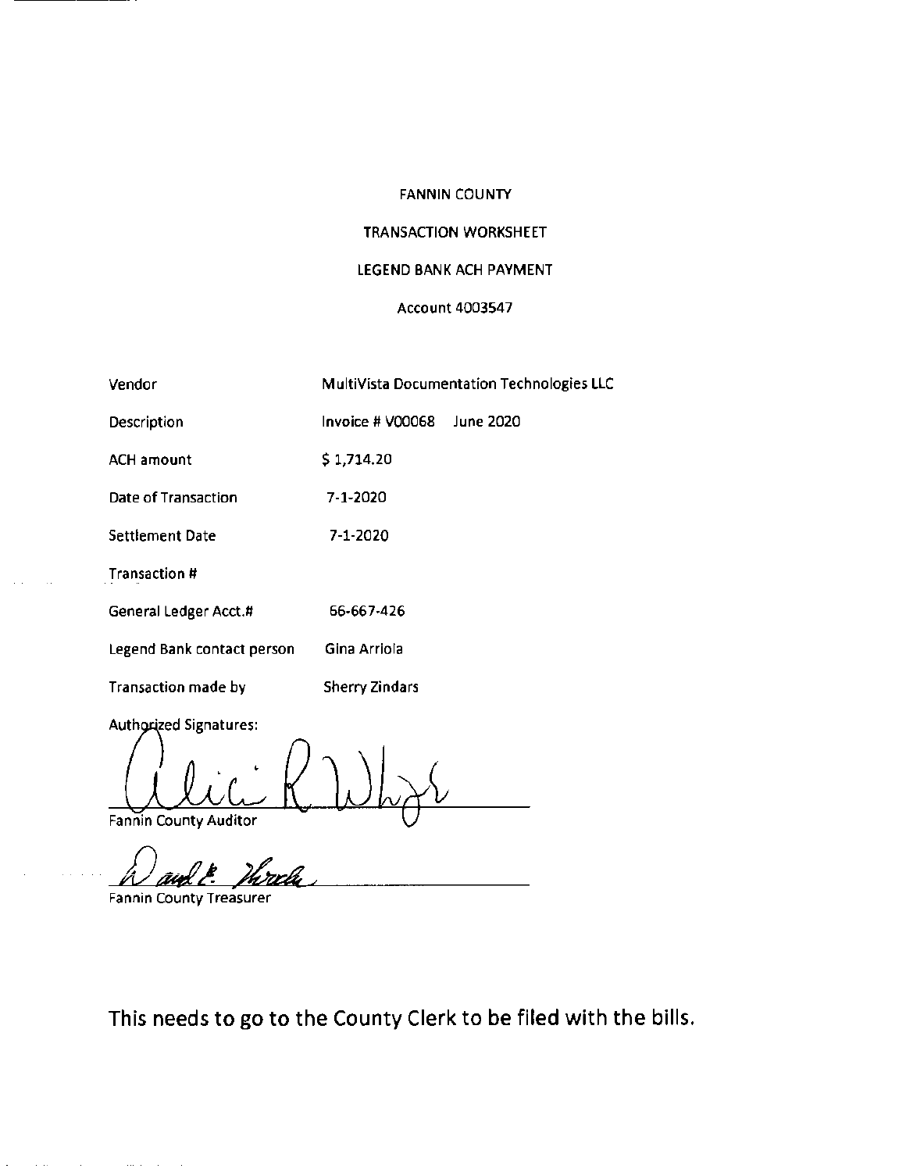-- - - - - -

### TRANSACTION WORKSHEET

### LEGEND **BANK** ACH PAYMENT

#### **Account 4003547**

| Vendor                        |                  | MultiVista Documentation Technologies LLC |
|-------------------------------|------------------|-------------------------------------------|
| Description                   | Invoice # V00068 | June 2020                                 |
| <b>ACH amount</b>             | \$1,714.20       |                                           |
| Date of Transaction           | 7-1-2020         |                                           |
| <b>Settlement Date</b>        | 7-1-2020         |                                           |
| Transaction #                 |                  |                                           |
| General Ledger Acct.#         | 66-667-426       |                                           |
| Legend Bank contact person    | Gina Arriola     |                                           |
| <b>Transaction made by</b>    | Sherry Zindars   |                                           |
| <b>Authorized Signatures:</b> |                  |                                           |

Fannin County Auditor

**Fannin County Treasurer** 

 $\mathcal{L}_{\mathcal{A}}$  is the contract of the contract of the contract of  $\mathcal{A}$ 

This needs to go to the County Clerk to be filed with the bills.

 $'\sim$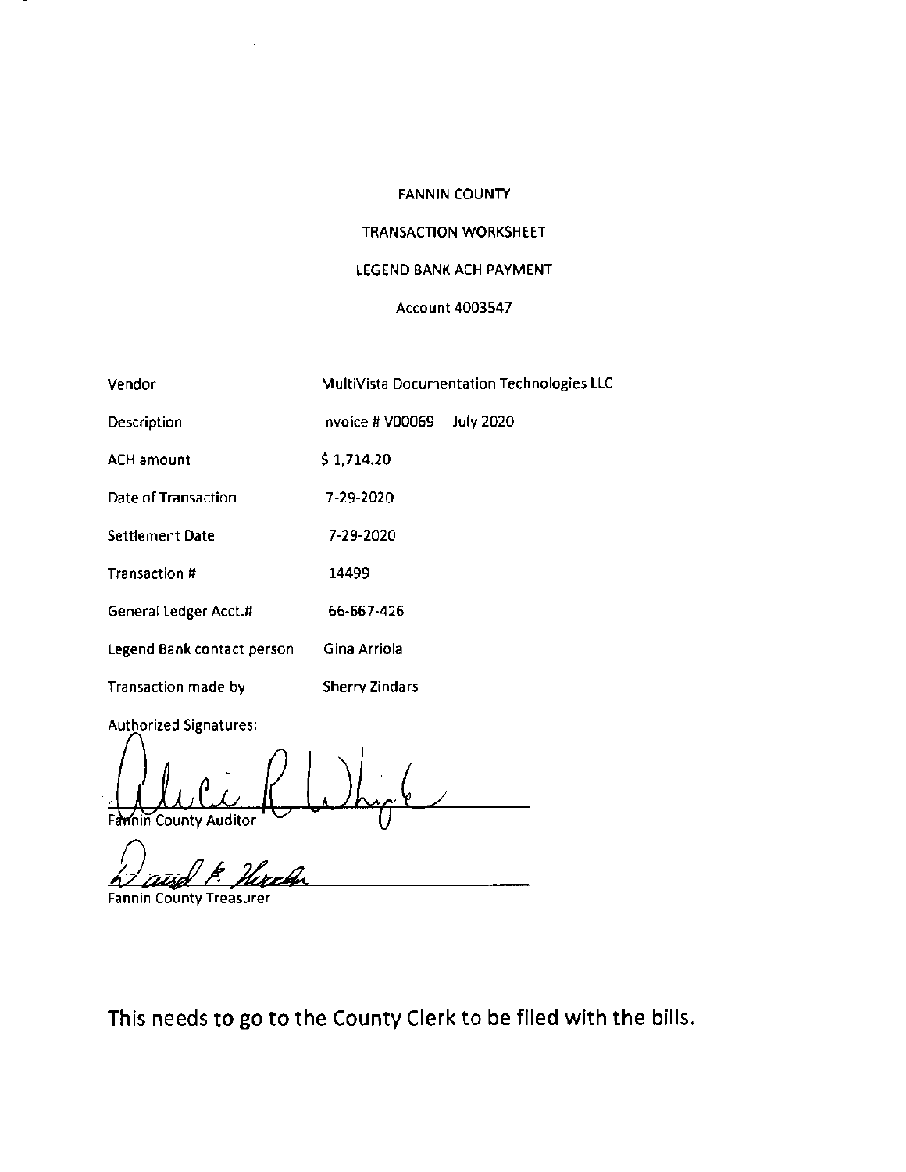### TRANSACTION WORKSHEET

### LEGEND BANK ACH PAYMENT

#### Account 4003547

| Vendor                        |                       | MultiVista Documentation Technologies LLC |
|-------------------------------|-----------------------|-------------------------------------------|
| Description                   | Invoice # V00069      | <b>July 2020</b>                          |
| <b>ACH amount</b>             | \$1,714.20            |                                           |
| Date of Transaction           | 7-29-2020             |                                           |
| <b>Settlement Date</b>        | 7-29-2020             |                                           |
| Transaction #                 | 14499                 |                                           |
| General Ledger Acct.#         | 66-667-426            |                                           |
| Legend Bank contact person    | Gina Arriola          |                                           |
| Transaction made by           | <b>Sherry Zindars</b> |                                           |
| <b>Authorized Signatures:</b> |                       |                                           |

Familie County Auditor ( Why 6

Fannin County Treasurer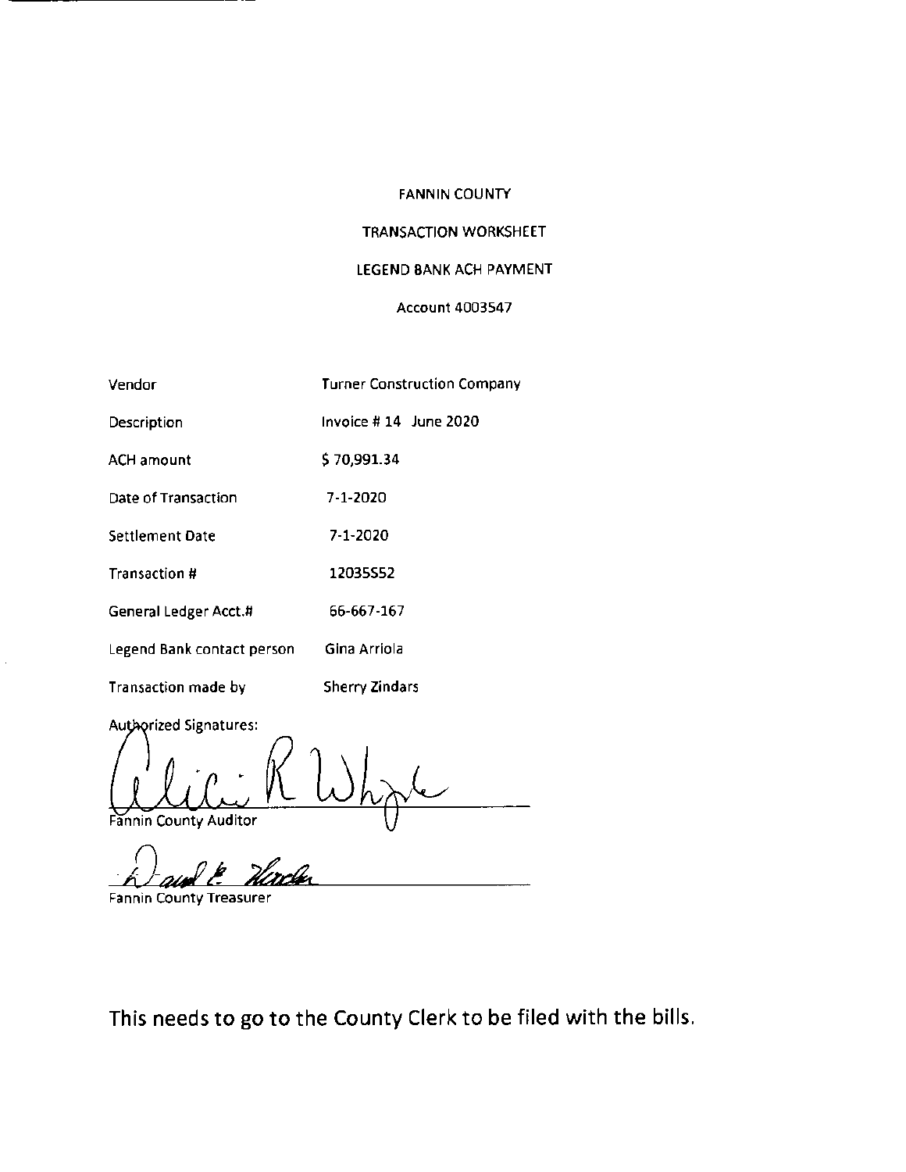## TRANSACTION WORKSHEET

## LEGEND BANK ACH PAYMENT

#### Account 4003547

| Vendor                     | <b>Turner Construction Company</b> |
|----------------------------|------------------------------------|
| Description                | Invoice # 14 June 2020             |
| <b>ACH amount</b>          | \$70,991.34                        |
| Date of Transaction        | 7-1-2020                           |
| Settlement Date            | 7-1-2020                           |
| Transaction #              | 12035552                           |
| General Ledger Acct.#      | 66-667-167                         |
| Legend Bank contact person | Gina Arriola                       |
| Transaction made by        | <b>Sherry Zindars</b>              |

Authorized Signatures:

Fannin County Auditor

Fannin County Treasurer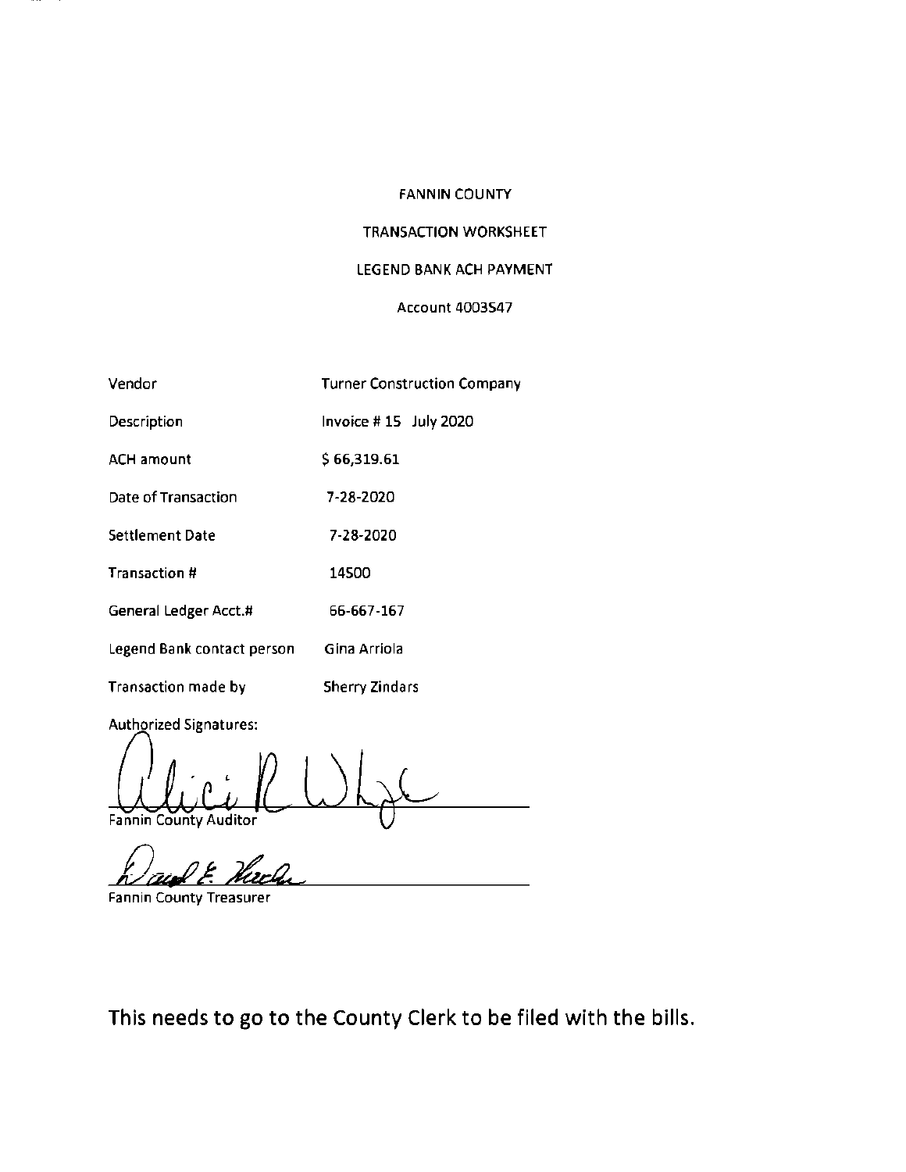## TRANSACTION WORKSHEET

### LEGEND BANK ACH PAYMENT

## Account 4003547

| Vendor                     | <b>Turner Construction Company</b> |
|----------------------------|------------------------------------|
| Description                | Invoice #15 July 2020              |
| ACH amount                 | \$66,319.61                        |
| Date of Transaction        | 7-28-2020                          |
| Settlement Date            | 7-28-2020                          |
| Transaction #              | 14500                              |
| General Ledger Acct.#      | 66-667-167                         |
| Legend Bank contact person | Gina Arriola                       |
| Transaction made by        | Sherry Zindars                     |

Authorized Signatures:

' Fannin County Auditor

Fannin County Treasurer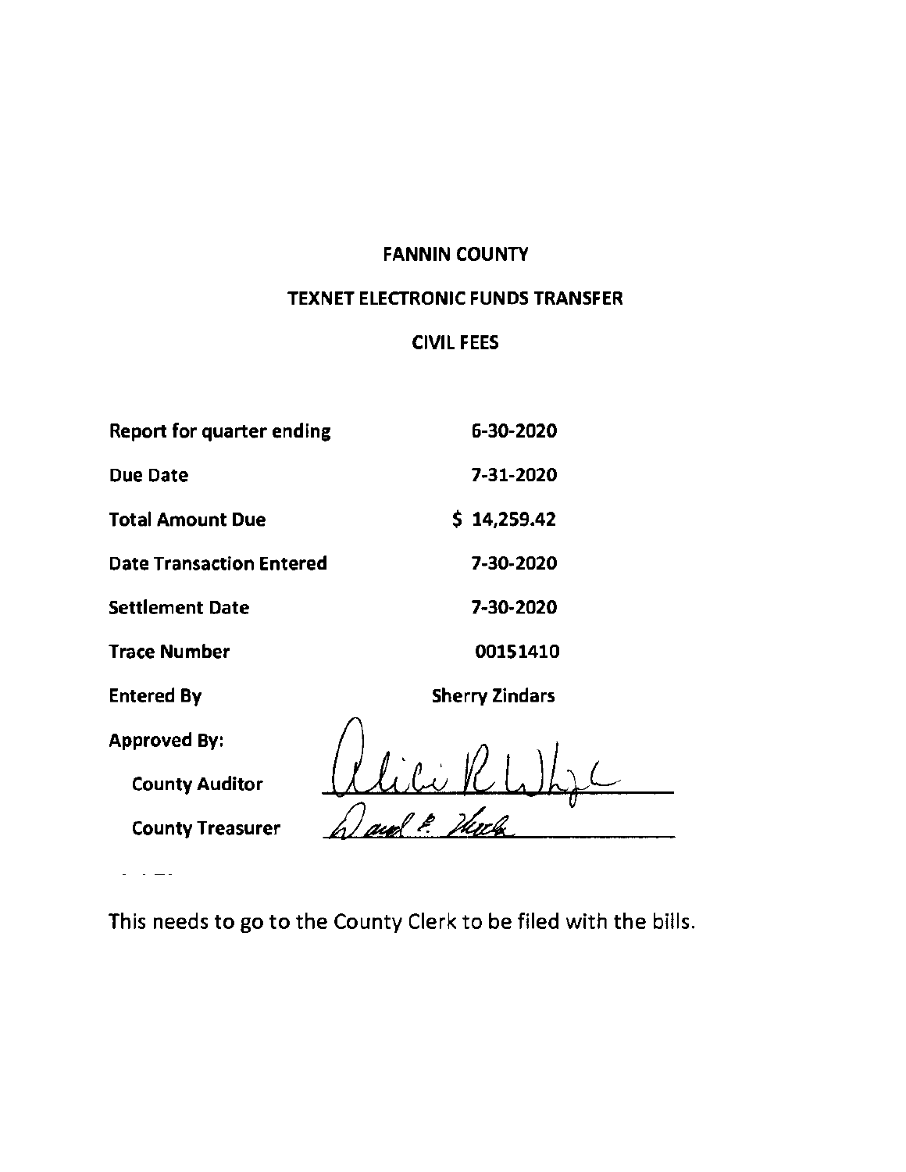# TEXNET ELECTRONIC FUNDS TRANSFER

## CIVIL **FEES**

| Report for quarter ending       | 6-30-2020             |
|---------------------------------|-----------------------|
| Due Date                        | 7-31-2020             |
| <b>Total Amount Due</b>         | \$14,259.42           |
| <b>Date Transaction Entered</b> | 7-30-2020             |
| <b>Settlement Date</b>          | 7-30-2020             |
| <b>Trace Number</b>             | 00151410              |
| <b>Entered By</b>               | <b>Sherry Zindars</b> |
| <b>Approved By:</b>             |                       |
| <b>County Auditor</b>           |                       |

County Treasurer

 $\mathbb{R}^2$  . The set

This needs to go to the County Clerk to be filed with the bills.

*L*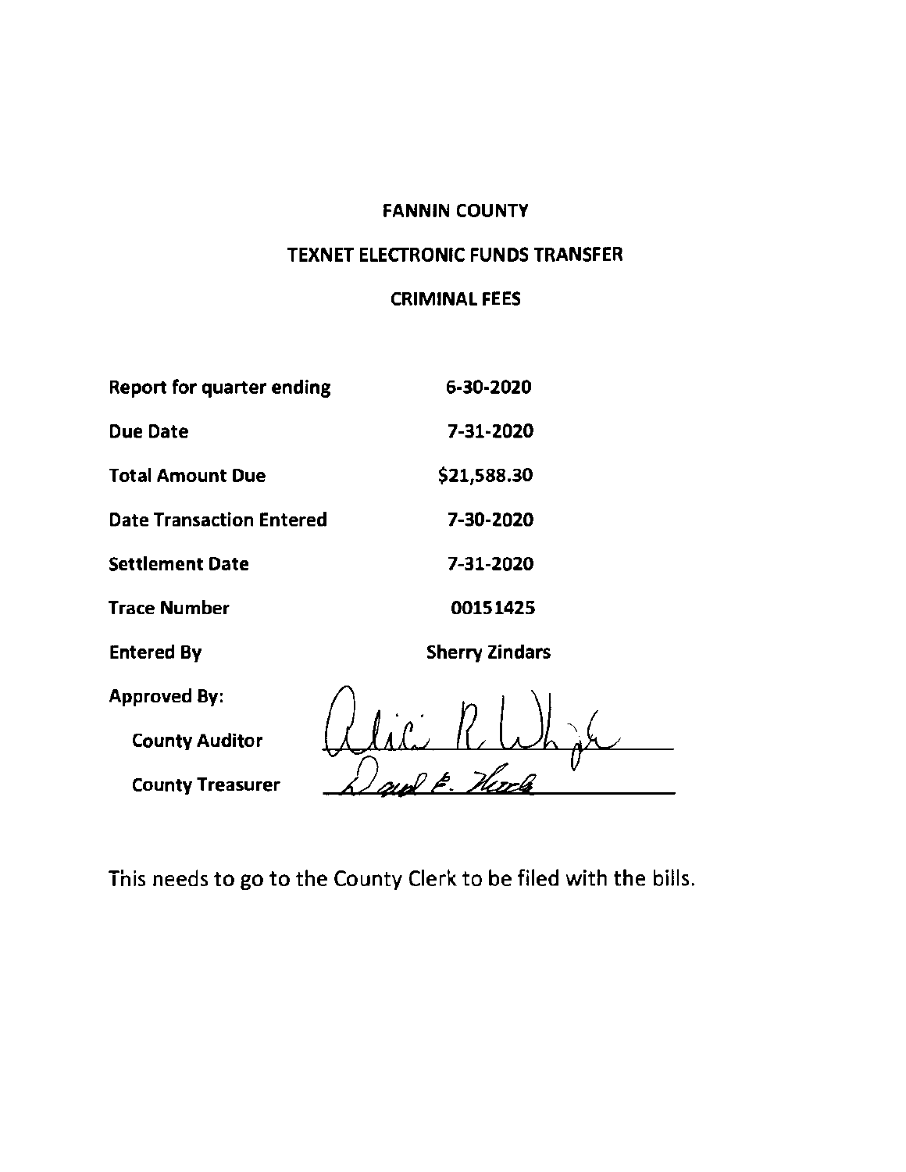# TEXNET ELECTRONIC FUNDS TRANSFER

## CRIMINAL FEES

| <b>Report for quarter ending</b> | 6-30-2020             |
|----------------------------------|-----------------------|
| <b>Due Date</b>                  | 7-31-2020             |
| <b>Total Amount Due</b>          | \$21,588.30           |
| <b>Date Transaction Entered</b>  | 7-30-2020             |
| <b>Settlement Date</b>           | 7-31-2020             |
| <b>Trace Number</b>              | 00151425              |
| <b>Entered By</b>                | <b>Sherry Zindars</b> |
| <b>Approved By:</b>              |                       |
| <b>County Auditor</b>            |                       |
| <b>County Treasurer</b>          |                       |